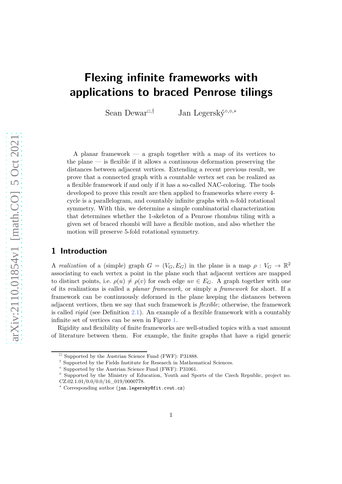# **Flexing infinite frameworks with applications to braced Penrose tilings**

Sean Dewar<sup>□,†</sup> Jan Legerský<sup>∘,</sup><sup>◇</sup>,∗

A planar framework — a graph together with a map of its vertices to the plane — is flexible if it allows a continuous deformation preserving the distances between adjacent vertices. Extending a recent previous result, we prove that a connected graph with a countable vertex set can be realized as a flexible framework if and only if it has a so-called NAC-coloring. The tools developed to prove this result are then applied to frameworks where every 4 cycle is a parallelogram, and countably infinite graphs with *n*-fold rotational symmetry. With this, we determine a simple combinatorial characterization that determines whether the 1-skeleton of a Penrose rhombus tiling with a given set of braced rhombi will have a flexible motion, and also whether the motion will preserve 5-fold rotational symmetry.

### **1 Introduction**

A *realization* of a (simple) graph  $G = (V_G, E_G)$  in the plane is a map  $\rho : V_G \to \mathbb{R}^2$ associating to each vertex a point in the plane such that adjacent vertices are mapped to distinct points, i.e.  $\rho(u) \neq \rho(v)$  for each edge  $uv \in E_G$ . A graph together with one of its realizations is called a *planar framework*, or simply a *framework* for short. If a framework can be continuously deformed in the plane keeping the distances between adjacent vertices, then we say that such framework is *flexible*; otherwise, the framework is called *rigid* (see Definition [2.1\)](#page-4-0). An example of a flexible framework with a countably infinite set of vertices can be seen in Figure [1.](#page-1-0)

Rigidity and flexibility of finite frameworks are well-studied topics with a vast amount of literature between them. For example, the finite graphs that have a rigid generic

 $\Box$  Supported by the Austrian Science Fund (FWF): P31888.

<sup>†</sup> Supported by the Fields Institute for Research in Mathematical Sciences.

<sup>◦</sup> Supported by the Austrian Science Fund (FWF): P31061.

<sup>⋄</sup> Supported by the Ministry of Education, Youth and Sports of the Czech Republic, project no. CZ.02.1.01/0.0/0.0/16\_019/0000778.

<sup>∗</sup> Corresponding author (jan.legersky@fit.cvut.cz)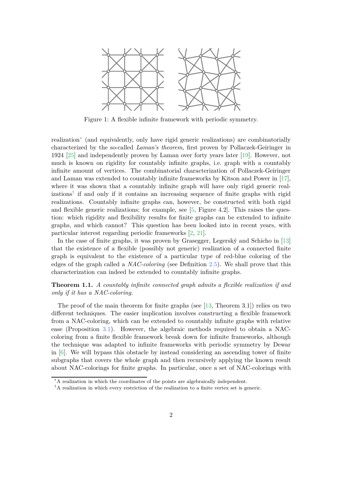<span id="page-1-0"></span>

Figure 1: A flexible infinite framework with periodic symmetry.

realization[∗](#page-1-1) (and equivalently, only have rigid generic realizations) are combinatorially characterized by the so-called *Laman's theorem*, first proven by Pollaczek-Geiringer in 1924 [\[25\]](#page-26-0) and independently proven by Laman over forty years later [\[19\]](#page-26-1). However, not much is known on rigidity for countably infinite graphs, i.e. graph with a countably infinite amount of vertices. The combinatorial characterization of Pollaczek-Geiringer and Laman was extended to countably infinite frameworks by Kitson and Power in [\[17\]](#page-25-0), where it was shown that a countably infinite graph will have only rigid generic realizations[†](#page-1-2) if and only if it contains an increasing sequence of finite graphs with rigid realizations. Countably infinite graphs can, however, be constructed with both rigid and flexible generic realizations; for example, see  $[5,$  Figure 4.2. This raises the question: which rigidity and flexibility results for finite graphs can be extended to infinite graphs, and which cannot? This question has been looked into in recent years, with particular interest regarding periodic frameworks [\[2,](#page-24-1) [21\]](#page-26-2).

In the case of finite graphs, it was proven by Grasegger, Legerský and Schicho in [\[13\]](#page-25-1) that the existence of a flexible (possibly not generic) realization of a connected finite graph is equivalent to the existence of a particular type of red-blue coloring of the edges of the graph called a *NAC-coloring* (see Definition [2.5\)](#page-5-0). We shall prove that this characterization can indeed be extended to countably infinite graphs.

<span id="page-1-3"></span>**Theorem 1.1.** *A countably infinite connected graph admits a flexible realization if and only if it has a NAC-coloring.*

The proof of the main theorem for finite graphs (see [\[13,](#page-25-1) Theorem 3.1]) relies on two different techniques. The easier implication involves constructing a flexible framework from a NAC-coloring, which can be extended to countably infinite graphs with relative ease (Proposition [3.1\)](#page-6-0). However, the algebraic methods required to obtain a NACcoloring from a finite flexible framework break down for infinite frameworks, although the technique was adapted to infinite frameworks with periodic symmetry by Dewar in  $[6]$ . We will bypass this obstacle by instead considering an ascending tower of finite subgraphs that covers the whole graph and then recursively applying the known result about NAC-colorings for finite graphs. In particular, once a set of NAC-colorings with

<sup>∗</sup>A realization in which the coordinates of the points are algebraically independent.

<span id="page-1-2"></span><span id="page-1-1"></span><sup>†</sup>A realization in which every restriction of the realization to a finite vertex set is generic.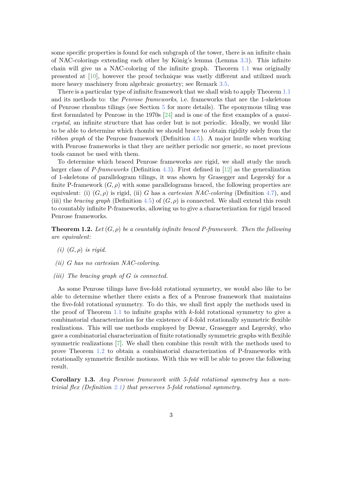some specific properties is found for each subgraph of the tower, there is an infinite chain of NAC-colorings extending each other by König's lemma (Lemma [3.3\)](#page-7-0). This infinite chain will give us a NAC-coloring of the infinite graph. Theorem [1.1](#page-1-3) was originally presented at [\[10\]](#page-25-3), however the proof technique was vastly different and utilized much more heavy machinery from algebraic geometry; see Remark [3.5.](#page-7-1)

There is a particular type of infinite framework that we shall wish to apply Theorem [1.1](#page-1-3) and its methods to: the *Penrose frameworks*, i.e. frameworks that are the 1-skeletons of Penrose rhombus tilings (see Section [5](#page-11-0) for more details). The eponymous tiling was first formulated by Penrose in the 1970s [\[24\]](#page-26-3) and is one of the first examples of a *quasicrystal*, an infinite structure that has order but is not periodic. Ideally, we would like to be able to determine which rhombi we should brace to obtain rigidity solely from the *ribbon graph* of the Penrose framework (Definition [4.5\)](#page-8-0). A major hurdle when working with Penrose frameworks is that they are neither periodic nor generic, so most previous tools cannot be used with them.

To determine which braced Penrose frameworks are rigid, we shall study the much larger class of *P-frameworks* (Definition [4.3\)](#page-8-1). First defined in [\[12\]](#page-25-4) as the generalization of 1-skeletons of parallelogram tilings, it was shown by Grasegger and Legerský for a finite P-framework  $(G, \rho)$  with some parallelograms braced, the following properties are equivalent: (i)  $(G, \rho)$  is rigid, (ii) *G* has a *cartesian NAC-coloring* (Definition [4.7\)](#page-9-0), and (iii) the *bracing graph* (Definition [4.5\)](#page-8-0) of  $(G, \rho)$  is connected. We shall extend this result to countably infinite P-frameworks, allowing us to give a characterization for rigid braced Penrose frameworks.

<span id="page-2-2"></span><span id="page-2-0"></span>**Theorem 1.2.** Let  $(G, \rho)$  be a countably infinite braced P-framework. Then the following *are equivalent:*

- <span id="page-2-1"></span>*(i)* (*G, ρ*) *is rigid.*
- <span id="page-2-3"></span>*(ii) G has no cartesian NAC-coloring.*
- *(iii) The bracing graph of G is connected.*

As some Penrose tilings have five-fold rotational symmetry, we would also like to be able to determine whether there exists a flex of a Penrose framework that maintains the five-fold rotational symmetry. To do this, we shall first apply the methods used in the proof of Theorem [1.1](#page-1-3) to infinite graphs with *k*-fold rotational symmetry to give a combinatorial characterization for the existence of *k*-fold rotationally symmetric flexible realizations. This will use methods employed by Dewar, Grasegger and Legerský, who gave a combinatorial characterization of finite rotationally symmetric graphs with flexible symmetric realizations [\[7\]](#page-25-5). We shall then combine this result with the methods used to prove Theorem [1.2](#page-2-0) to obtain a combinatorial characterization of P-frameworks with rotationally symmetric flexible motions. With this we will be able to prove the following result.

<span id="page-2-4"></span>**Corollary 1.3.** *Any Penrose framework with 5-fold rotational symmetry has a nontrivial flex (Definition [2.1\)](#page-4-0) that preserves 5-fold rotational symmetry.*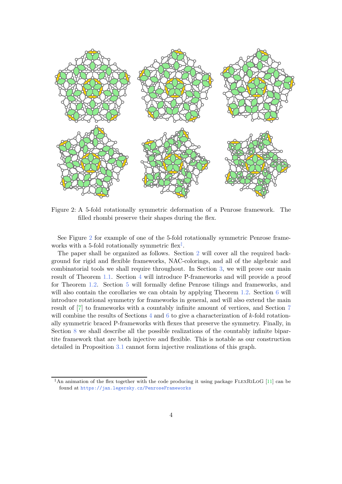<span id="page-3-0"></span>

Figure 2: A 5-fold rotationally symmetric deformation of a Penrose framework. The filled rhombi preserve their shapes during the flex.

See Figure [2](#page-3-0) for example of one of the 5-fold rotationally symmetric Penrose frameworks with a 5-fold rotationally symmetric flex<sup>†</sup>.

The paper shall be organized as follows. Section [2](#page-4-1) will cover all the required background for rigid and flexible frameworks, NAC-colorings, and all of the algebraic and combinatorial tools we shall require throughout. In Section [3,](#page-6-1) we will prove our main result of Theorem [1.1.](#page-1-3) Section [4](#page-8-2) will introduce P-frameworks and will provide a proof for Theorem [1.2.](#page-2-0) Section [5](#page-11-0) will formally define Penrose tilings and frameworks, and will also contain the corollaries we can obtain by applying Theorem [1.2.](#page-2-0) Section [6](#page-14-0) will introduce rotational symmetry for frameworks in general, and will also extend the main result of [\[7\]](#page-25-5) to frameworks with a countably infinite amount of vertices, and Section [7](#page-17-0) will combine the results of Sections [4](#page-8-2) and [6](#page-14-0) to give a characterization of *k*-fold rotationally symmetric braced P-frameworks with flexes that preserve the symmetry. Finally, in Section [8](#page-22-0) we shall describe all the possible realizations of the countably infinite bipartite framework that are both injective and flexible. This is notable as our construction detailed in Proposition [3.1](#page-6-0) cannot form injective realizations of this graph.

<span id="page-3-1"></span><sup>&</sup>lt;sup>‡</sup>An animation of the flex together with the code producing it using package FLEXRILOG [\[11\]](#page-25-6) can be found at <https://jan.legersky.cz/PenroseFrameworks>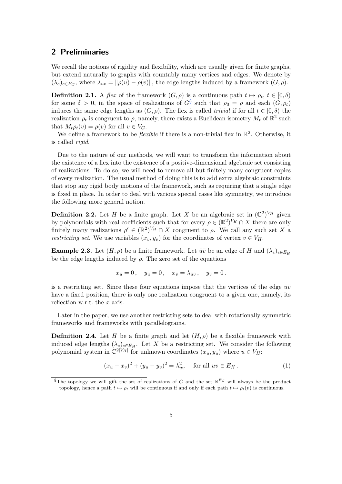# <span id="page-4-1"></span>**2 Preliminaries**

We recall the notions of rigidity and flexibility, which are usually given for finite graphs, but extend naturally to graphs with countably many vertices and edges. We denote by  $(\lambda_e)_{e \in E_G}$ , where  $\lambda_{uv} = ||\rho(u) - \rho(v)||$ , the edge lengths induced by a framework  $(G, \rho)$ .

<span id="page-4-0"></span>**Definition 2.1.** A *flex* of the framework  $(G, \rho)$  is a continuous path  $t \mapsto \rho_t$ ,  $t \in [0, \delta)$ for some  $\delta > 0$ , in the space of realizations of  $G^{\S}$  such that  $\rho_0 = \rho$  and each  $(G, \rho_t)$ induces the same edge lengths as  $(G, \rho)$ . The flex is called *trivial* if for all  $t \in [0, \delta)$  the realization  $\rho_t$  is congruent to  $\rho$ , namely, there exists a Euclidean isometry  $M_t$  of  $\mathbb{R}^2$  such that  $M_t \rho_t(v) = \rho(v)$  for all  $v \in V_G$ .

We define a framework to be *flexible* if there is a non-trivial flex in  $\mathbb{R}^2$ . Otherwise, it is called *rigid*.

Due to the nature of our methods, we will want to transform the information about the existence of a flex into the existence of a positive-dimensional algebraic set consisting of realizations. To do so, we will need to remove all but finitely many congruent copies of every realization. The usual method of doing this is to add extra algebraic constraints that stop any rigid body motions of the framework, such as requiring that a single edge is fixed in place. In order to deal with various special cases like symmetry, we introduce the following more general notion.

**Definition 2.2.** Let *H* be a finite graph. Let *X* be an algebraic set in  $(\mathbb{C}^2)^{V_H}$  given by polynomials with real coefficients such that for every  $\rho \in (\mathbb{R}^2)^{V_H} \cap X$  there are only finitely many realizations  $\rho' \in (\mathbb{R}^2)^{V_H} \cap X$  congruent to  $\rho$ . We call any such set X a *restricting set.* We use variables  $(x_v, y_v)$  for the coordinates of vertex  $v \in V_H$ .

<span id="page-4-4"></span>**Example 2.3.** Let  $(H, \rho)$  be a finite framework. Let  $\bar{u}\bar{v}$  be an edge of *H* and  $(\lambda_e)_{e \in E_H}$ be the edge lengths induced by  $\rho$ . The zero set of the equations

$$
x_{\bar{u}}=0\,,\quad y_{\bar{u}}=0\,,\quad x_{\bar{v}}=\lambda_{\bar{u}\bar{v}}\,,\quad y_{\bar{v}}=0\,.
$$

is a restricting set. Since these four equations impose that the vertices of the edge  $\bar{u}\bar{v}$ have a fixed position, there is only one realization congruent to a given one, namely, its reflection w.r.t. the *x*-axis.

Later in the paper, we use another restricting sets to deal with rotationally symmetric frameworks and frameworks with parallelograms.

**Definition 2.4.** Let *H* be a finite graph and let  $(H, \rho)$  be a flexible framework with induced edge lengths  $(\lambda_e)_{e \in E_H}$ . Let *X* be a restricting set. We consider the following polynomial system in  $\mathbb{C}^{2|V_H|}$  for unknown coordinates  $(x_u, y_u)$  where  $u \in V_H$ :

<span id="page-4-3"></span>
$$
(x_u - x_v)^2 + (y_u - y_v)^2 = \lambda_{uv}^2 \quad \text{for all } uv \in E_H.
$$
 (1)

<span id="page-4-2"></span><sup>&</sup>lt;sup>§</sup>The topology we will gift the set of realizations of *G* and the set  $\mathbb{R}^{E_G}$  will always be the product topology, hence a path  $t \mapsto \rho_t$  will be continuous if and only if each path  $t \mapsto \rho_t(v)$  is continuous.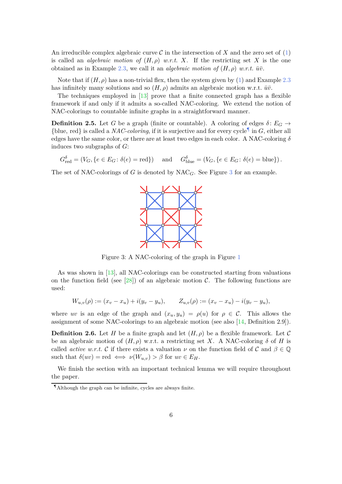An irreducible complex algebraic curve  $\mathcal C$  in the intersection of  $X$  and the zero set of  $(1)$ is called an *algebraic motion of*  $(H, \rho)$  *w.r.t. X*. If the restricting set *X* is the one obtained as in Example [2.3,](#page-4-4) we call it an *algebraic motion of*  $(H, \rho)$  *w.r.t.*  $\bar{u}\bar{v}$ .

Note that if  $(H, \rho)$  has a non-trivial flex, then the system given by [\(1\)](#page-4-3) and Example [2.3](#page-4-4) has infinitely many solutions and so  $(H, \rho)$  admits an algebraic motion w.r.t.  $\bar{u}\bar{v}$ .

The techniques employed in [\[13\]](#page-25-1) prove that a finite connected graph has a flexible framework if and only if it admits a so-called NAC-coloring. We extend the notion of NAC-colorings to countable infinite graphs in a straightforward manner.

<span id="page-5-0"></span>**Definition 2.5.** Let *G* be a graph (finite or countable). A coloring of edges  $\delta$ :  $E_G \rightarrow$ {blue, red} is called a *NAC-coloring*, if it is surjective and for every cycle<sup>1</sup> in *G*, either all edges have the same color, or there are at least two edges in each color. A NAC-coloring *δ* induces two subgraphs of *G*:

$$
G_{\text{red}}^{\delta} = (V_G, \{e \in E_G : \delta(e) = \text{red}\})
$$
 and  $G_{\text{blue}}^{\delta} = (V_G, \{e \in E_G : \delta(e) = \text{blue}\}).$ 

<span id="page-5-2"></span>The set of NAC-colorings of *G* is denoted by NAC*G*. See Figure [3](#page-5-2) for an example.



Figure 3: A NAC-coloring of the graph in Figure [1](#page-1-0)

As was shown in [\[13\]](#page-25-1), all NAC-colorings can be constructed starting from valuations on the function field (see [\[28\]](#page-26-4)) of an algebraic motion  $\mathcal{C}$ . The following functions are used:

$$
W_{u,v}(\rho) := (x_v - x_u) + i(y_v - y_u), \qquad Z_{u,v}(\rho) := (x_v - x_u) - i(y_v - y_u),
$$

<span id="page-5-3"></span>where *uv* is an edge of the graph and  $(x_u, y_u) = \rho(u)$  for  $\rho \in \mathcal{C}$ . This allows the assignment of some NAC-colorings to an algebraic motion (see also [\[14,](#page-25-7) Definition 2.9]).

**Definition 2.6.** Let *H* be a finite graph and let  $(H, \rho)$  be a flexible framework. Let C be an algebraic motion of  $(H, \rho)$  w.r.t. a restricting set *X*. A NAC-coloring  $\delta$  of *H* is called *active w.r.t.* C if there exists a valuation  $\nu$  on the function field of C and  $\beta \in \mathbb{Q}$ such that  $\delta(uv) = \text{red} \iff \nu(W_{u,v}) > \beta$  for  $uv \in E_H$ .

<span id="page-5-4"></span>We finish the section with an important technical lemma we will require throughout the paper.

<span id="page-5-1"></span><sup>¶</sup>Although the graph can be infinite, cycles are always finite.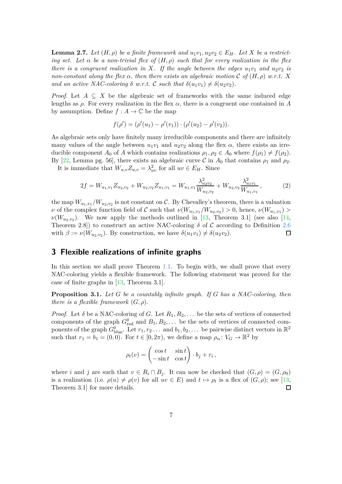**Lemma 2.7.** Let  $(H, \rho)$  be a finite framework and  $u_1v_1, u_2v_2 \in E_H$ . Let X be a restrict*ing set.* Let  $\alpha$  be a non-trivial flex of  $(H, \rho)$  such that for every realization in the flex *there is a congruent realization in X. If the angle between the edges*  $u_1v_1$  *and*  $u_2v_2$  *is non-constant along the flex*  $\alpha$ *, then there exists an algebraic motion*  $\mathcal{C}$  *of*  $(H, \rho)$  *w.r.t.*  $X$ *and an active NAC-coloring*  $\delta$  *w.r.t.* C *such that*  $\delta(u_1v_1) \neq \delta(u_2v_2)$ .

*Proof.* Let  $A \subseteq X$  be the algebraic set of frameworks with the same induced edge lengths as  $\rho$ . For every realization in the flex  $\alpha$ , there is a congruent one contained in A by assumption. Define  $f : A \to \mathbb{C}$  be the map

$$
f(\rho') = (\rho'(u_1) - \rho'(v_1)) \cdot (\rho'(u_2) - \rho'(v_2)).
$$

As algebraic sets only have finitely many irreducible components and there are infinitely many values of the angle between  $u_1v_1$  and  $u_2v_2$  along the flex  $\alpha$ , there exists an irreducible component  $A_0$  of  $A$  which contains realizations  $\rho_1, \rho_2 \in A_0$  where  $f(\rho_1) \neq f(\rho_2)$ . By [\[22,](#page-26-5) Lemma pg. 56], there exists an algebraic curve C in  $A_0$  that contains  $\rho_1$  and  $\rho_2$ .

It is immediate that  $W_{u,v}Z_{u,v} = \lambda_{uv}^2$  for all  $uv \in E_H$ . Since

$$
2f = W_{u_1, v_1} Z_{u_2, v_2} + W_{u_2, v_2} Z_{u_1, v_1} = W_{u_1, v_1} \frac{\lambda_{u_2 v_2}^2}{W_{u_2, v_2}} + W_{u_2, v_2} \frac{\lambda_{u_1 v_1}^2}{W_{u_1, v_1}},
$$
(2)

the map  $W_{u_1, v_1}/W_{u_2, v_2}$  is not constant on C. By Chevalley's theorem, there is a valuation *ν* of the complex function field of  $C$  such that  $\nu(W_{u_1,v_1}/W_{u_2,v_2}) > 0$ , hence,  $\nu(W_{u_1,v_1}) >$  $\nu(W_{u_2,v_2})$ . We now apply the methods outlined in [\[13,](#page-25-1) Theorem 3.1] (see also [\[14,](#page-25-7) Theorem 2.8]) to construct an active NAC-coloring  $\delta$  of  $\mathcal C$  according to Definition [2.6](#page-5-3) with  $\beta := \nu(W_{u_2, v_2})$ . By construction, we have  $\delta(u_1v_1) \neq \delta(u_2v_2)$ .  $\Box$ 

### <span id="page-6-1"></span>**3 Flexible realizations of infinite graphs**

In this section we shall prove Theorem [1.1.](#page-1-3) To begin with, we shall prove that every NAC-coloring yields a flexible framework. The following statement was proved for the case of finite graphs in [\[13,](#page-25-1) Theorem 3.1].

<span id="page-6-0"></span>**Proposition 3.1.** *Let G be a countably infinite graph. If G has a NAC-coloring, then there is a flexible framework*  $(G, \rho)$ *.* 

*Proof.* Let  $\delta$  be a NAC-coloring of *G*. Let  $R_1, R_2, \ldots$  be the sets of vertices of connected components of the graph  $G_{\text{red}}^{\delta}$  and  $B_1, B_2, \ldots$  be the sets of vertices of connected components of the graph  $G_{\text{blue}}^{\delta}$ . Let  $r_1, r_2 \ldots$  and  $b_1, b_2, \ldots$  be pairwise distinct vectors in  $\mathbb{R}^2$ such that  $r_1 = b_1 = (0, 0)$ . For  $t \in [0, 2\pi)$ , we define a map  $\rho_\alpha : V_G \to \mathbb{R}^2$  by

$$
\rho_t(v) = \begin{pmatrix} \cos t & \sin t \\ -\sin t & \cos t \end{pmatrix} \cdot b_j + r_i \,,
$$

where *i* and *j* are such that  $v \in R_i \cap B_j$ . It can now be checked that  $(G, \rho) = (G, \rho_0)$ is a realization (i.e.  $\rho(u) \neq \rho(v)$  for all  $uv \in E$ ) and  $t \mapsto \rho_t$  is a flex of  $(G, \rho)$ ; see [\[13,](#page-25-1) Theorem 3.1] for more details.  $\Box$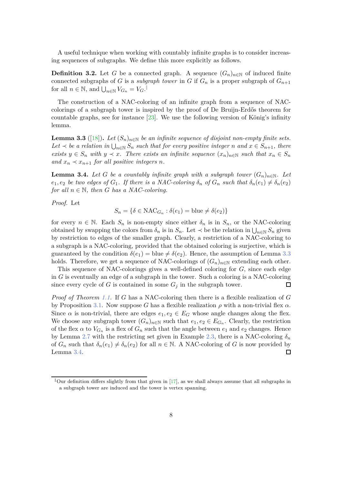A useful technique when working with countably infinite graphs is to consider increasing sequences of subgraphs. We define this more explicitly as follows.

**Definition 3.2.** Let *G* be a connected graph. A sequence  $(G_n)_{n\in\mathbb{N}}$  of induced finite connected subgraphs of *G* is a *subgraph tower* in *G* if  $G_n$  is a proper subgraph of  $G_{n+1}$ for all  $n \in \mathbb{N}$ , and  $\bigcup_{n \in \mathbb{N}} V_{G_n} = V_G$ .

The construction of a NAC-coloring of an infinite graph from a sequence of NACcolorings of a subgraph tower is inspired by the proof of De Bruijn-Erdős theorem for countable graphs, see for instance [\[23\]](#page-26-6). We use the following version of König's infinity lemma.

<span id="page-7-0"></span>**Lemma 3.3** ([\[18\]](#page-25-8)). Let  $(S_n)_{n \in \mathbb{N}}$  be an infinite sequence of disjoint non-empty finite sets.  $Let \nightharpoonup be$  *a* relation in  $\bigcup_{n\in\mathbb{N}} S_n$  such that for every positive integer *n* and  $x \in S_{n+1}$ , there *exists*  $y \in S_n$  *with*  $y \prec x$ *. There exists an infinite sequence*  $(x_n)_{n \in \mathbb{N}}$  *such that*  $x_n \in S_n$ *and*  $x_n \prec x_{n+1}$  *for all positive integers n.* 

<span id="page-7-3"></span>**Lemma 3.4.** Let G be a countably infinite graph with a subgraph tower  $(G_n)_{n \in \mathbb{N}}$ . Let *e*<sub>1</sub>*, e*<sub>2</sub> *be two edges of*  $G_1$ *. If there is a NAC-coloring*  $\delta_n$  *of*  $G_n$  *such that*  $\delta_n(e_1) \neq \delta_n(e_2)$ *for all*  $n \in \mathbb{N}$ *, then G has a NAC-coloring.* 

*Proof.* Let

$$
S_n = \{ \delta \in \text{NAC}_{G_n} : \delta(e_1) = \text{blue} \neq \delta(e_2) \}
$$

for every  $n \in \mathbb{N}$ . Each  $S_n$  is non-empty since either  $\delta_n$  is in  $S_n$ , or the NAC-coloring obtained by swapping the colors from  $\delta_n$  is in  $S_n$ . Let  $\prec$  be the relation in  $\bigcup_{n\in\mathbb{N}}S_n$  given by restriction to edges of the smaller graph. Clearly, a restriction of a NAC-coloring to a subgraph is a NAC-coloring, provided that the obtained coloring is surjective, which is guaranteed by the condition  $\delta(e_1)$  = blue  $\neq \delta(e_2)$ . Hence, the assumption of Lemma [3.3](#page-7-0) holds. Therefore, we get a sequence of NAC-colorings of  $(G_n)_{n\in\mathbb{N}}$  extending each other.

This sequence of NAC-colorings gives a well-defined coloring for *G*, since each edge in *G* is eventually an edge of a subgraph in the tower. Such a coloring is a NAC-coloring since every cycle of  $G$  is contained in some  $G_j$  in the subgraph tower.  $\Box$ 

*Proof of Theorem [1.1.](#page-1-3)* If *G* has a NAC-coloring then there is a flexible realization of *G* by Proposition [3.1.](#page-6-0) Now suppose *G* has a flexible realization  $\rho$  with a non-trivial flex  $\alpha$ . Since  $\alpha$  is non-trivial, there are edges  $e_1, e_2 \in E_G$  whose angle changes along the flex. We choose any subgraph tower  $(G_n)_{n\in\mathbb{N}}$  such that  $e_1, e_2 \in E_{G_n}$ . Clearly, the restriction of the flex  $\alpha$  to  $V_{G_n}$  is a flex of  $G_n$  such that the angle between  $e_1$  and  $e_2$  changes. Hence by Lemma [2.7](#page-5-4) with the restricting set given in Example [2.3,](#page-4-4) there is a NAC-coloring  $\delta_n$ of  $G_n$  such that  $\delta_n(e_1) \neq \delta_n(e_2)$  for all  $n \in \mathbb{N}$ . A NAC-coloring of *G* is now provided by Lemma [3.4.](#page-7-3) □

<span id="page-7-2"></span><span id="page-7-1"></span>Uur definition differs slightly from that given in [\[17\]](#page-25-0), as we shall always assume that all subgraphs in a subgraph tower are induced and the tower is vertex spanning.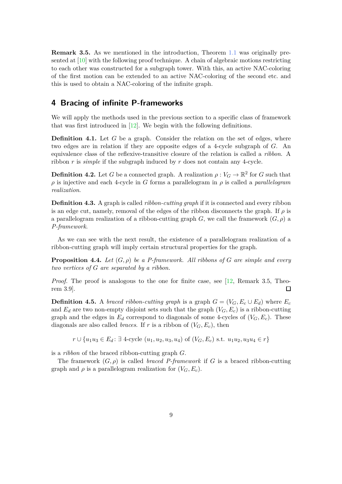**Remark 3.5.** As we mentioned in the introduction, Theorem [1.1](#page-1-3) was originally presented at  $[10]$  with the following proof technique. A chain of algebraic motions restricting to each other was constructed for a subgraph tower. With this, an active NAC-coloring of the first motion can be extended to an active NAC-coloring of the second etc. and this is used to obtain a NAC-coloring of the infinite graph.

## <span id="page-8-2"></span>**4 Bracing of infinite P-frameworks**

We will apply the methods used in the previous section to a specific class of framework that was first introduced in [\[12\]](#page-25-4). We begin with the following definitions.

**Definition 4.1.** Let *G* be a graph. Consider the relation on the set of edges, where two edges are in relation if they are opposite edges of a 4-cycle subgraph of *G*. An equivalence class of the reflexive-transitive closure of the relation is called a *ribbon*. A ribbon *r* is *simple* if the subgraph induced by *r* does not contain any 4-cycle.

**Definition 4.2.** Let *G* be a connected graph. A realization  $\rho: V_G \to \mathbb{R}^2$  for *G* such that  $\rho$  is injective and each 4-cycle in *G* forms a parallelogram in  $\rho$  is called a *parallelogram realization*.

<span id="page-8-1"></span>**Definition 4.3.** A graph is called *ribbon-cutting graph* if it is connected and every ribbon is an edge cut, namely, removal of the edges of the ribbon disconnects the graph. If  $\rho$  is a parallelogram realization of a ribbon-cutting graph *G*, we call the framework  $(G, \rho)$  a *P-framework*.

As we can see with the next result, the existence of a parallelogram realization of a ribbon-cutting graph will imply certain structural properties for the graph.

**Proposition 4.4.** Let  $(G, \rho)$  be a P-framework. All ribbons of G are simple and every *two vertices of G are separated by a ribbon.*

*Proof.* The proof is analogous to the one for finite case, see [\[12,](#page-25-4) Remark 3.5, Theorem 3.9].  $\Box$ 

<span id="page-8-0"></span>**Definition 4.5.** A *braced ribbon-cutting graph* is a graph  $G = (V_G, E_c \cup E_d)$  where  $E_c$ and  $E_d$  are two non-empty disjoint sets such that the graph  $(V_G, E_c)$  is a ribbon-cutting graph and the edges in  $E_d$  correspond to diagonals of some 4-cycles of  $(V_G, E_c)$ . These diagonals are also called *braces*. If *r* is a ribbon of  $(V_G, E_c)$ , then

*r* ∪ { $u_1u_3 \in E_d$ : ∃ 4-cycle  $(u_1, u_2, u_3, u_4)$  of  $(V_G, E_c)$  s.t.  $u_1u_2, u_3u_4 \in r$ }

is a *ribbon* of the braced ribbon-cutting graph *G*.

The framework  $(G, \rho)$  is called *braced P-framework* if *G* is a braced ribbon-cutting graph and  $\rho$  is a parallelogram realization for  $(V_G, E_c)$ .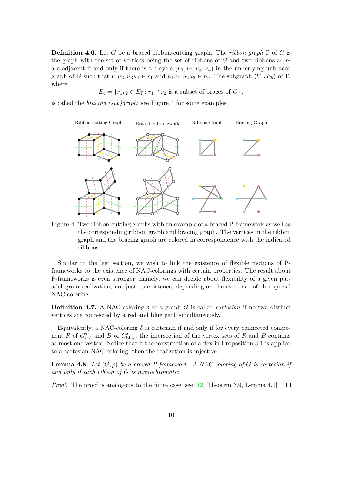**Definition 4.6.** Let *G* be a braced ribbon-cutting graph. The *ribbon graph* Γ of *G* is the graph with the set of vertices being the set of ribbons of *G* and two ribbons  $r_1, r_2$ are adjacent if and only if there is a 4-cycle  $(u_1, u_2, u_3, u_4)$  in the underlying unbraced graph of *G* such that  $u_1u_2, u_3u_4 \in r_1$  and  $u_1u_4, u_2u_3 \in r_2$ . The subgraph  $(V_\Gamma, E_b)$  of  $\Gamma$ , where

$$
E_b = \{r_1r_2 \in E_\Gamma \colon r_1 \cap r_2 \text{ is a subset of braces of } G\},\
$$

<span id="page-9-1"></span>is called the *bracing (sub)graph*; see Figure [4](#page-9-1) for some examples.



Figure 4: Two ribbon-cutting graphs with an example of a braced P-framework as well as the corresponding ribbon graph and bracing graph. The vertices in the ribbon graph and the bracing graph are colored in correspondence with the indicated ribbons.

Similar to the last section, we wish to link the existence of flexible motions of Pframeworks to the existence of NAC-colorings with certain properties. The result about P-frameworks is even stronger, namely, we can decide about flexibility of a given parallelogram realization, not just its existence, depending on the existence of this special NAC-coloring.

<span id="page-9-0"></span>**Definition 4.7.** A NAC-coloring  $\delta$  of a graph *G* is called *cartesian* if no two distinct vertices are connected by a red and blue path simultaneously.

Equivalently, a NAC-coloring  $\delta$  is cartesian if and only if for every connected component *R* of  $G_{red}^{\delta}$  and *B* of  $G_{blue}^{\delta}$ , the intersection of the vertex sets of *R* and *B* contains at most one vertex. Notice that if the construction of a flex in Proposition [3.1](#page-6-0) is applied to a cartesian NAC-coloring, then the realization is injective.

<span id="page-9-2"></span>**Lemma 4.8.** Let  $(G, \rho)$  be a braced P-framework. A NAC-coloring of G is cartesian if *and only if each ribbon of G is monochromatic.*

*Proof.* The proof is analogous to the finite case, see [\[12,](#page-25-4) Theorem 3.9, Lemma 4.1]  $\Box$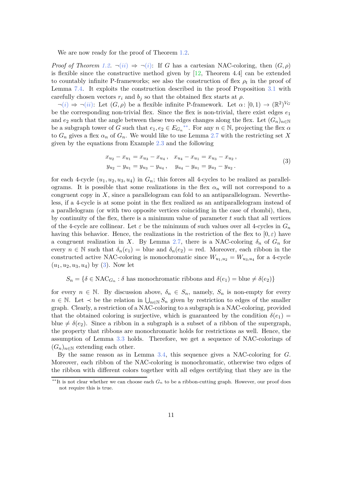We are now ready for the proof of Theorem [1.2.](#page-2-0)

*Proof of Theorem [1.2.](#page-2-0)*  $\neg(ii) \Rightarrow \neg(i)$  $\neg(ii) \Rightarrow \neg(i)$  $\neg(ii) \Rightarrow \neg(i)$  $\neg(ii) \Rightarrow \neg(i)$  $\neg(ii) \Rightarrow \neg(i)$ : If *G* has a cartesian NAC-coloring, then  $(G, \rho)$ is flexible since the constructive method given by [\[12,](#page-25-4) Theorem 4.4] can be extended to countably infinite P-frameworks; see also the construction of flex  $\rho_t$  in the proof of Lemma [7.4.](#page-18-0) It exploits the construction described in the proof Proposition [3.1](#page-6-0) with carefully chosen vectors  $r_i$  and  $b_j$  so that the obtained flex starts at  $\rho$ .

 $\neg(i) \Rightarrow \neg(ii)$  $\neg(i) \Rightarrow \neg(ii)$  $\neg(i) \Rightarrow \neg(ii)$  $\neg(i) \Rightarrow \neg(ii)$  $\neg(i) \Rightarrow \neg(ii)$ : Let  $(G, \rho)$  be a flexible infinite P-framework. Let  $\alpha$ :  $[0, 1) \rightarrow (\mathbb{R}^2)^{V_G}$ be the corresponding non-trivial flex. Since the flex is non-trivial, there exist edges  $e_1$ and  $e_2$  such that the angle between these two edges changes along the flex. Let  $(G_n)_{n\in\mathbb{N}}$ be a subgraph tower of *G* such that  $e_1, e_2 \in E_{G_n}^{**}$ . For any  $n \in \mathbb{N}$ , projecting the flex  $\alpha$ to  $G_n$  gives a flex  $\alpha_n$  of  $G_n$ . We would like to use Lemma [2.7](#page-5-4) with the restricting set X given by the equations from Example [2.3](#page-4-4) and the following

<span id="page-10-1"></span>
$$
x_{u_2} - x_{u_1} = x_{u_3} - x_{u_4}, \quad x_{u_4} - x_{u_1} = x_{u_3} - x_{u_2},
$$
  
\n
$$
y_{u_2} - y_{u_1} = y_{u_3} - y_{u_4}, \quad y_{u_4} - y_{u_1} = y_{u_3} - y_{u_2}.
$$
\n(3)

for each 4-cycle  $(u_1, u_2, u_3, u_4)$  in  $G_n$ ; this forces all 4-cycles to be realized as parallelograms. It is possible that some realizations in the flex  $\alpha_n$  will not correspond to a congruent copy in X, since a parallelogram can fold to an antiparallelogram. Nevertheless, if a 4-cycle is at some point in the flex realized as an antiparallelogram instead of a parallelogram (or with two opposite vertices coinciding in the case of rhombi), then, by continuity of the flex, there is a minimum value of parameter *t* such that all vertices of the 4-cycle are collinear. Let  $\varepsilon$  be the minimum of such values over all 4-cycles in  $G_n$ having this behavior. Hence, the realizations in the restriction of the flex to  $[0, \varepsilon)$  have a congruent realization in *X*. By Lemma [2.7,](#page-5-4) there is a NAC-coloring  $\delta_n$  of  $G_n$  for every  $n \in \mathbb{N}$  such that  $\delta_n(e_1) =$  blue and  $\delta_n(e_2) =$  red. Moreover, each ribbon in the constructed active NAC-coloring is monochromatic since  $W_{u_1, u_2} = W_{u_3, u_4}$  for a 4-cycle (*u*1*, u*2*, u*3*, u*4) by [\(3\)](#page-10-1). Now let

$$
S_n = \{ \delta \in \text{NAC}_{G_n} : \delta \text{ has monochromatic ribbons and } \delta(e_1) = \text{blue} \neq \delta(e_2) \}
$$

for every  $n \in \mathbb{N}$ . By discussion above,  $\delta_n \in S_n$ , namely,  $S_n$  is non-empty for every *n* ∈ N. Let  $\prec$  be the relation in  $\bigcup_{n\in\mathbb{N}} S_n$  given by restriction to edges of the smaller graph. Clearly, a restriction of a NAC-coloring to a subgraph is a NAC-coloring, provided that the obtained coloring is surjective, which is guaranteed by the condition  $\delta(e_1)$  = blue  $\neq \delta(e_2)$ . Since a ribbon in a subgraph is a subset of a ribbon of the supergraph, the property that ribbons are monochromatic holds for restrictions as well. Hence, the assumption of Lemma [3.3](#page-7-0) holds. Therefore, we get a sequence of NAC-colorings of  $(G_n)_{n\in\mathbb{N}}$  extending each other.

By the same reason as in Lemma [3.4,](#page-7-3) this sequence gives a NAC-coloring for *G*. Moreover, each ribbon of the NAC-coloring is monochromatic, otherwise two edges of the ribbon with different colors together with all edges certifying that they are in the

<span id="page-10-0"></span><sup>∗∗</sup>It is not clear whether we can choose each *G<sup>n</sup>* to be a ribbon-cutting graph. However, our proof does not require this is true.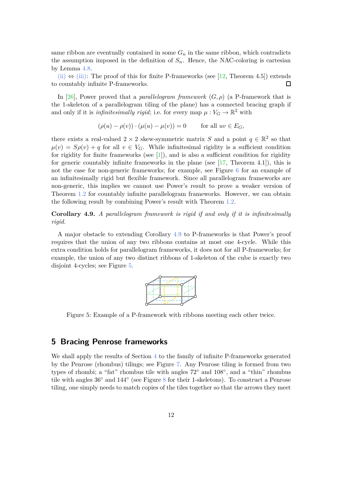same ribbon are eventually contained in some  $G_n$  in the same ribbon, which contradicts the assumption imposed in the definition of  $S_n$ . Hence, the NAC-coloring is cartesian by Lemma [4.8.](#page-9-2)

[\(ii\)](#page-2-1)  $\Leftrightarrow$  [\(iii\):](#page-2-3) The proof of this for finite P-frameworks (see [\[12,](#page-25-4) Theorem 4.5]) extends to countably infinite P-frameworks.  $\Box$ 

In [\[26\]](#page-26-7), Power proved that a *parallelogram framework*  $(G, \rho)$  (a P-framework that is the 1-skeleton of a parallelogram tiling of the plane) has a connected bracing graph if and only if it is *infinitesimally rigid*; i.e. for every map  $\mu: V_G \to \mathbb{R}^2$  with

$$
(\rho(u) - \rho(v)) \cdot (\mu(u) - \mu(v)) = 0 \quad \text{for all } uv \in E_G
$$

there exists a real-valued  $2 \times 2$  skew-symmetric matrix *S* and a point  $q \in \mathbb{R}^2$  so that  $\mu(v) = S\rho(v) + q$  for all  $v \in V_G$ . While infinitesimal rigidity is a sufficient condition for rigidity for finite frameworks (see  $[1]$ ), and is also a sufficient condition for rigidity for generic countably infinite frameworks in the plane (see  $[17,$  Theorem 4.1]), this is not the case for non-generic frameworks; for example, see Figure [6](#page-12-0) for an example of an infinitesimally rigid but flexible framework. Since all parallelogram frameworks are non-generic, this implies we cannot use Power's result to prove a weaker version of Theorem [1.2](#page-2-0) for countably infinite parallelogram frameworks. However, we can obtain the following result by combining Power's result with Theorem [1.2.](#page-2-0)

<span id="page-11-1"></span>**Corollary 4.9.** *A parallelogram framework is rigid if and only if it is infinitesimally rigid.*

<span id="page-11-2"></span>A major obstacle to extending Corollary [4.9](#page-11-1) to P-frameworks is that Power's proof requires that the union of any two ribbons contains at most one 4-cycle. While this extra condition holds for parallelogram frameworks, it does not for all P-frameworks; for example, the union of any two distinct ribbons of 1-skeleton of the cube is exactly two disjoint 4-cycles; see Figure [5.](#page-11-2)



Figure 5: Example of a P-framework with ribbons meeting each other twice.

#### <span id="page-11-0"></span>**5 Bracing Penrose frameworks**

We shall apply the results of Section [4](#page-8-2) to the family of infinite P-frameworks generated by the Penrose (rhombus) tilings; see Figure [7.](#page-12-1) Any Penrose tiling is formed from two types of rhombi; a "fat" rhombus tile with angles 72◦ and 108◦ , and a "thin" rhombus tile with angles 36◦ and 144◦ (see Figure [8](#page-13-0) for their 1-skeletons). To construct a Penrose tiling, one simply needs to match copies of the tiles together so that the arrows they meet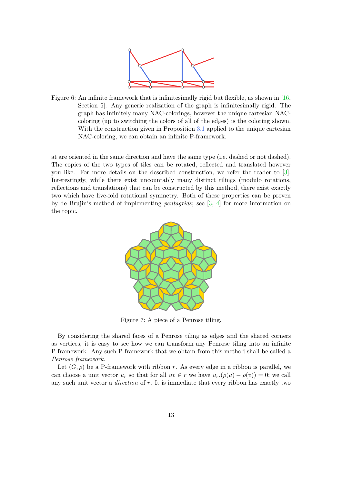

<span id="page-12-0"></span>Figure 6: An infinite framework that is infinitesimally rigid but flexible, as shown in [\[16,](#page-25-9)] Section 5]. Any generic realization of the graph is infinitesimally rigid. The graph has infinitely many NAC-colorings, however the unique cartesian NACcoloring (up to switching the colors of all of the edges) is the coloring shown. With the construction given in Proposition [3.1](#page-6-0) applied to the unique cartesian NAC-coloring, we can obtain an infinite P-framework.

<span id="page-12-1"></span>at are oriented in the same direction and have the same type (i.e. dashed or not dashed). The copies of the two types of tiles can be rotated, reflected and translated however you like. For more details on the described construction, we refer the reader to [\[3\]](#page-24-3). Interestingly, while there exist uncountably many distinct tilings (modulo rotations, reflections and translations) that can be constructed by this method, there exist exactly two which have five-fold rotational symmetry. Both of these properties can be proven by de Brujin's method of implementing *pentagrids*; see [\[3,](#page-24-3) [4\]](#page-24-4) for more information on the topic.



Figure 7: A piece of a Penrose tiling.

By considering the shared faces of a Penrose tiling as edges and the shared corners as vertices, it is easy to see how we can transform any Penrose tiling into an infinite P-framework. Any such P-framework that we obtain from this method shall be called a *Penrose framework*.

Let  $(G, \rho)$  be a P-framework with ribbon *r*. As every edge in a ribbon is parallel, we can choose a unit vector  $u_r$  so that for all  $uv \in r$  we have  $u_r \cdot (\rho(u) - \rho(v)) = 0$ ; we call any such unit vector a *direction* of *r*. It is immediate that every ribbon has exactly two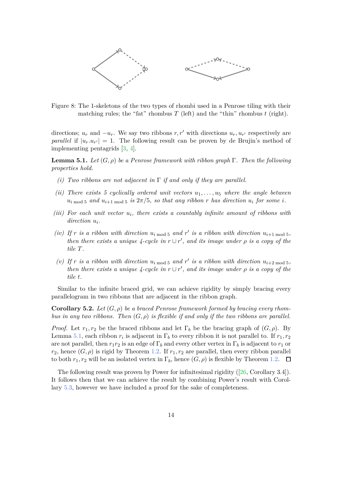<span id="page-13-0"></span>

Figure 8: The 1-skeletons of the two types of rhombi used in a Penrose tiling with their matching rules; the "fat" rhombus  $T$  (left) and the "thin" rhombus  $t$  (right).

directions;  $u_r$  and  $-u_r$ . We say two ribbons  $r, r'$  with directions  $u_r, u_{r'}$  respectively are *parallel* if  $|u_r u_{r'}| = 1$ . The following result can be proven by de Brujin's method of implementing pentagrids [\[3,](#page-24-3) [4\]](#page-24-4).

<span id="page-13-1"></span>**Lemma 5.1.** *Let* (*G, ρ*) *be a Penrose framework with ribbon graph* Γ*. Then the following properties hold.*

- *(i) Two ribbons are not adjacent in* Γ *if and only if they are parallel.*
- *(ii)* There exists 5 cyclically ordered unit vectors  $u_1, \ldots, u_5$  where the angle between  $u_i$ <sub>mod</sub>  $\frac{1}{2}$  and  $u_{i+1}$ <sub>mod</sub>  $\frac{1}{2}$  *is*  $2\pi/5$ *, so that any ribbon r has direction*  $u_i$  *for some i*.
- *(iii)* For each unit vector  $u_i$ , there exists a countably infinite amount of ribbons with *direction u<sup>i</sup> .*
- *(iv)* If r *is a ribbon with direction*  $u_i$ <sub>mod 5</sub> *and*  $r'$  *is a ribbon with direction*  $u_{i+1 \text{ mod } 5}$ *, then there exists a unique 4-cycle in*  $r \cup r'$ , and *its image under*  $\rho$  *is a copy of the tile T.*
- (v) If *r* is a ribbon with direction  $u_i$ <sub>mod 5</sub> and  $r'$  is a ribbon with direction  $u_{i+2 \text{ mod } 5}$ , *then there exists a unique 4-cycle in*  $r \cup r'$ , and *its image under*  $\rho$  *is a copy of the tile t.*

Similar to the infinite braced grid, we can achieve rigidity by simply bracing every parallelogram in two ribbons that are adjacent in the ribbon graph.

**Corollary 5.2.** Let  $(G, \rho)$  be a braced Penrose framework formed by bracing every rhom*bus in any two ribbons. Then* (*G, ρ*) *is flexible if and only if the two ribbons are parallel.*

*Proof.* Let  $r_1, r_2$  be the braced ribbons and let  $\Gamma_b$  be the bracing graph of  $(G, \rho)$ . By Lemma [5.1,](#page-13-1) each ribbon  $r_i$  is adjacent in  $\Gamma_b$  to every ribbon it is not parallel to. If  $r_1, r_2$ are not parallel, then  $r_1r_2$  is an edge of  $\Gamma_b$  and every other vertex in  $\Gamma_b$  is adjacent to  $r_1$  or *r*<sub>2</sub>, hence  $(G, \rho)$  is rigid by Theorem [1.2.](#page-2-0) If  $r_1, r_2$  are parallel, then every ribbon parallel to both  $r_1, r_2$  will be an isolated vertex in  $\Gamma_b$ , hence  $(G, \rho)$  is flexible by Theorem [1.2.](#page-2-0)  $\Box$ 

<span id="page-13-2"></span>The following result was proven by Power for infinitesimal rigidity ([\[26,](#page-26-7) Corollary 3.4]). It follows then that we can achieve the result by combining Power's result with Corollary [5.3,](#page-13-2) however we have included a proof for the sake of completeness.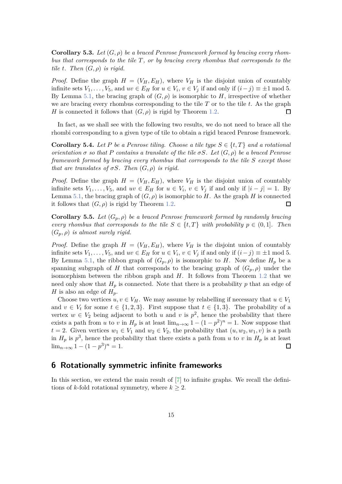**Corollary 5.3.** Let  $(G, \rho)$  be a braced Penrose framework formed by bracing every rhom*bus that corresponds to the tile T, or by bracing every rhombus that corresponds to the tile t. Then*  $(G, \rho)$  *is rigid.* 

*Proof.* Define the graph  $H = (V_H, E_H)$ , where  $V_H$  is the disjoint union of countably infinite sets  $V_1, \ldots, V_5$ , and  $uv \in E_H$  for  $u \in V_i$ ,  $v \in V_j$  if and only if  $(i - j) \equiv \pm 1 \mod 5$ . By Lemma [5.1,](#page-13-1) the bracing graph of  $(G, \rho)$  is isomorphic to *H*, irrespective of whether we are bracing every rhombus corresponding to the tile *T* or to the tile *t*. As the graph *H* is connected it follows that  $(G, \rho)$  is rigid by Theorem [1.2.](#page-2-0)  $\Box$ 

In fact, as we shall see with the following two results, we do not need to brace all the rhombi corresponding to a given type of tile to obtain a rigid braced Penrose framework.

**Corollary 5.4.** Let P be a Penrose tiling. Choose a tile type  $S \in \{t, T\}$  and a rotational *orientation*  $\sigma$  *so that*  $P$  *contains a translate of the tile*  $\sigma S$ *. Let*  $(G, \rho)$  *be a braced Penrose framework formed by bracing every rhombus that corresponds to the tile S except those that are translates of*  $\sigma S$ *. Then*  $(G, \rho)$  *is rigid.* 

*Proof.* Define the graph  $H = (V_H, E_H)$ , where  $V_H$  is the disjoint union of countably infinite sets  $V_1, \ldots, V_5$ , and  $uv \in E_H$  for  $u \in V_i$ ,  $v \in V_j$  if and only if  $|i - j| = 1$ . By Lemma [5.1,](#page-13-1) the bracing graph of  $(G, \rho)$  is isomorphic to *H*. As the graph *H* is connected it follows that  $(G, \rho)$  is rigid by Theorem [1.2.](#page-2-0)  $\Box$ 

**Corollary 5.5.** *Let* (*Gp, ρ*) *be a braced Penrose framework formed by randomly bracing every rhombus that corresponds to the tile*  $S \in \{t, T\}$  *with probability*  $p \in (0, 1]$ *. Then*  $(G_n, \rho)$  *is almost surely rigid.* 

*Proof.* Define the graph  $H = (V_H, E_H)$ , where  $V_H$  is the disjoint union of countably infinite sets  $V_1, \ldots, V_5$ , and  $uv \in E_H$  for  $u \in V_i$ ,  $v \in V_j$  if and only if  $(i - j) \equiv \pm 1 \mod 5$ . By Lemma [5.1,](#page-13-1) the ribbon graph of  $(G_p, \rho)$  is isomorphic to *H*. Now define  $H_p$  be a spanning subgraph of *H* that corresponds to the bracing graph of  $(G_p, \rho)$  under the isomorphism between the ribbon graph and *H*. It follows from Theorem [1.2](#page-2-0) that we need only show that  $H_p$  is connected. Note that there is a probability  $p$  that an edge of *H* is also an edge of  $H_p$ .

Choose two vertices  $u, v \in V_H$ . We may assume by relabelling if necessary that  $u \in V_1$ and  $v \in V_t$  for some  $t \in \{1, 2, 3\}$ . First suppose that  $t \in \{1, 3\}$ . The probability of a vertex  $w \in V_2$  being adjacent to both *u* and *v* is  $p^2$ , hence the probability that there exists a path from *u* to *v* in  $H_p$  is at least  $\lim_{n\to\infty} 1 - (1 - p^2)^n = 1$ . Now suppose that *t* = 2. Given vertices  $w_1 \in V_1$  and  $w_2 \in V_2$ , the probability that  $(u, w_2, w_1, v)$  is a path in  $H_p$  is  $p^3$ , hence the probability that there exists a path from *u* to *v* in  $H_p$  is at least  $\lim_{n\to\infty} 1 - (1 - p^3)^n = 1.$  $\Box$ 

### <span id="page-14-0"></span>**6 Rotationally symmetric infinite frameworks**

In this section, we extend the main result of  $[7]$  to infinite graphs. We recall the definitions of *k*-fold rotational symmetry, where  $k \geq 2$ .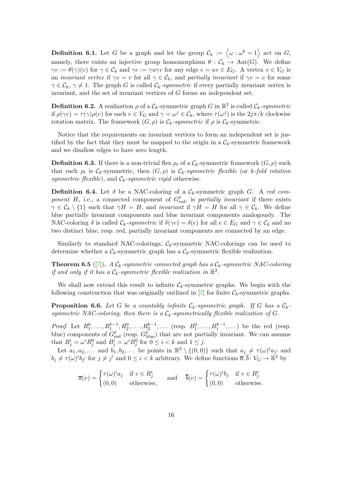**Definition 6.1.** Let *G* be a graph and let the group  $\mathcal{C}_k := \langle \omega : \omega^k = 1 \rangle$  act on *G*, namely, there exists an injective group homomorphism  $\theta : C_k \rightarrow \text{Aut}(G)$ . We define  $\gamma v := \theta(\gamma)(v)$  for  $\gamma \in \mathcal{C}_k$  and  $\gamma e := \gamma u \gamma v$  for any edge  $e = uv \in E_G$ . A vertex  $v \in V_G$  is an *invariant vertex* if  $\gamma v = v$  for all  $\gamma \in \mathcal{C}_k$ , and *partially invariant* if  $\gamma v = v$  for some  $\gamma \in \mathcal{C}_k$ ,  $\gamma \neq 1$ . The graph *G* is called  $\mathcal{C}_k$ *-symmetric* if every partially invariant vertex is invariant, and the set of invariant vertices of *G* forms an independent set.

**Definition 6.2.** A realization  $\rho$  of a  $\mathcal{C}_k$ -symmetric graph  $G$  in  $\mathbb{R}^2$  is called  $\mathcal{C}_k$ -symmetric if  $\rho(\gamma v) = \tau(\gamma)\rho(v)$  for each  $v \in V_G$  and  $\gamma = \omega^j \in \mathcal{C}_k$ , where  $\tau(\omega^j)$  is the  $2j\pi/k$  clockwise rotation matrix. The framework  $(G, \rho)$  is  $\mathcal{C}_k$ -symmetric if  $\rho$  is  $\mathcal{C}_k$ -symmetric.

Notice that the requirements on invariant vertices to form an independent set is justified by the fact that they must be mapped to the origin in a  $\mathcal{C}_k$ -symmetric framework and we disallow edges to have zero length.

**Definition 6.3.** If there is a non-trivial flex  $\rho_t$  of a  $\mathcal{C}_k$ -symmetric framework  $(G, \rho)$  such that each  $\rho_t$  is  $\mathcal{C}_k$ -symmetric, then  $(G, \rho)$  is  $\mathcal{C}_k$ -symmetric flexible (or *k*-fold rotation *symmetric flexible*), and  $\mathcal{C}_k$ -symmetric rigid otherwise.

**Definition 6.4.** Let  $\delta$  be a NAC-coloring of a  $\mathcal{C}_k$ -symmetric graph *G*. A *red component H*, i.e., a connected component of  $G_{\text{red}}^{\delta}$ , is *partially invariant* if there exists  $\gamma \in \mathcal{C}_k \setminus \{1\}$  such that  $\gamma H = H$ , and *invariant* if  $\gamma H = H$  for all  $\gamma \in \mathcal{C}_k$ . We define blue partially invariant components and blue invariant components analogously. The NAC-coloring  $\delta$  is called  $\mathcal{C}_k$ -symmetric if  $\delta(\gamma e) = \delta(e)$  for all  $e \in E_G$  and  $\gamma \in \mathcal{C}_k$  and no two distinct blue, resp. red, partially invariant components are connected by an edge.

<span id="page-15-1"></span>Similarly to standard NAC-colorings,  $C_k$ -symmetric NAC-colorings can be used to determine whether a  $\mathcal{C}_k$ -symmetric graph has a  $\mathcal{C}_k$ -symmetric flexible realization.

**Theorem 6.5** ([\[7\]](#page-25-5)). *A*  $C_k$ -symmetric connected graph has a  $C_k$ -symmetric NAC-coloring *if and only if it has a*  $\mathcal{C}_k$ -symmetric flexible realization in  $\mathbb{R}^2$ .

<span id="page-15-0"></span>We shall now extend this result to infinite  $C_k$ -symmetric graphs. We begin with the following construction that was originally outlined in  $[7]$  for finite  $\mathcal{C}_k$ -symmetric graphs.

**Proposition 6.6.** Let G be a countably infinite  $C_k$ -symmetric graph. If G has a  $C_k$ *symmetric NAC-coloring, then there is a*  $\mathcal{C}_k$ -symmetrically flexible realization of G.

*Proof.* Let  $R_1^0, \ldots, R_1^{k-1}, R_2^0, \ldots, R_2^{k-1}, \ldots$  (resp.  $B_1^0, \ldots, B_1^{k-1}, \ldots$ ) be the red (resp. blue) components of  $G_{red}^{\delta}$  (resp.  $G_{blue}^{\delta}$ ) that are not partially invariant. We can assume that  $R^i_j = \omega^i R^0_j$  and  $B^i_j = \omega^i B^0_j$  for  $0 \le i < k$  and  $1 \le j$ .

Let  $a_1, a_2, \ldots$  and  $b_1, b_2, \ldots$  be points in  $\mathbb{R}^2 \setminus \{(0,0)\}\)$  such that  $a_j \neq \tau(\omega)^i a_{j'}$  and  $b_j \neq \tau(\omega)^i b_{j'}$  for  $j \neq j'$  and  $0 \leq i < k$  arbitrary. We define functions  $\overline{a}, \overline{b} \colon V_G \to \mathbb{R}^2$  by

$$
\overline{a}(v) = \begin{cases} \tau(\omega)^i a_j & \text{if } v \in R^i_j \\ (0,0) & \text{otherwise,} \end{cases} \quad \text{and} \quad \overline{b}(v) = \begin{cases} \tau(\omega)^i b_j & \text{if } v \in B^i_j \\ (0,0) & \text{otherwise.} \end{cases}
$$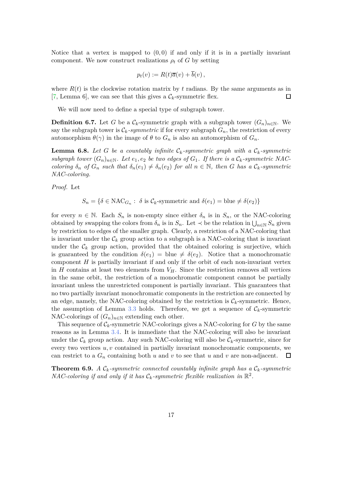Notice that a vertex is mapped to  $(0,0)$  if and only if it is in a partially invariant component. We now construct realizations  $\rho_t$  of *G* by setting

$$
p_t(v) := R(t)\overline{a}(v) + \overline{b}(v),
$$

where  $R(t)$  is the clockwise rotation matrix by t radians. By the same arguments as in [\[7,](#page-25-5) Lemma 6], we can see that this gives a  $\mathcal{C}_k$ -symmetric flex.  $\Box$ 

We will now need to define a special type of subgraph tower.

**Definition 6.7.** Let *G* be a  $\mathcal{C}_k$ -symmetric graph with a subgraph tower  $(G_n)_{n\in\mathbb{N}}$ . We say the subgraph tower is  $\mathcal{C}_k$ -symmetric if for every subgraph  $G_n$ , the restriction of every automorphism  $\theta(\gamma)$  in the image of  $\theta$  to  $G_n$  is also an automorphism of  $G_n$ .

<span id="page-16-0"></span>**Lemma 6.8.** Let G be a countably infinite  $C_k$ -symmetric graph with a  $C_k$ -symmetric *subgraph tower*  $(G_n)_{n\in\mathbb{N}}$ *. Let*  $e_1, e_2$  *be two edges of*  $G_1$ *. If there is a*  $\mathcal{C}_k$ *-symmetric NAC*coloring  $\delta_n$  of  $G_n$  such that  $\delta_n(e_1) \neq \delta_n(e_2)$  for all  $n \in \mathbb{N}$ , then G has a  $\mathcal{C}_k$ -symmetric *NAC-coloring.*

*Proof.* Let

$$
S_n = \{ \delta \in \text{NAC}_{G_n} : \delta \text{ is } C_k\text{-symmetric and } \delta(e_1) = \text{blue} \neq \delta(e_2) \}
$$

for every  $n \in \mathbb{N}$ . Each  $S_n$  is non-empty since either  $\delta_n$  is in  $S_n$ , or the NAC-coloring obtained by swapping the colors from  $\delta_n$  is in  $S_n$ . Let  $\prec$  be the relation in  $\bigcup_{n\in\mathbb{N}}S_n$  given by restriction to edges of the smaller graph. Clearly, a restriction of a NAC-coloring that is invariant under the  $\mathcal{C}_k$  group action to a subgraph is a NAC-coloring that is invariant under the  $\mathcal{C}_k$  group action, provided that the obtained coloring is surjective, which is guaranteed by the condition  $\delta(e_1) = \text{blue} \neq \delta(e_2)$ . Notice that a monochromatic component *H* is partially invariant if and only if the orbit of each non-invariant vertex in  $H$  contains at least two elements from  $V_H$ . Since the restriction removes all vertices in the same orbit, the restriction of a monochromatic component cannot be partially invariant unless the unrestricted component is partially invariant. This guarantees that no two partially invariant monochromatic components in the restriction are connected by an edge, namely, the NAC-coloring obtained by the restriction is  $\mathcal{C}_k$ -symmetric. Hence, the assumption of Lemma [3.3](#page-7-0) holds. Therefore, we get a sequence of  $C_k$ -symmetric NAC-colorings of  $(G_n)_{n\in\mathbb{N}}$  extending each other.

This sequence of  $\mathcal{C}_k$ -symmetric NAC-colorings gives a NAC-coloring for *G* by the same reasons as in Lemma [3.4.](#page-7-3) It is immediate that the NAC-coloring will also be invariant under the  $\mathcal{C}_k$  group action. Any such NAC-coloring will also be  $\mathcal{C}_k$ -symmetric, since for every two vertices *u, v* contained in partially invariant monochromatic components, we can restrict to a  $G_n$  containing both *u* and *v* to see that *u* and *v* are non-adjacent.  $\Box$ 

**Theorem 6.9.** *A*  $C_k$ -symmetric connected countably infinite graph has a  $C_k$ -symmetric *NAC-coloring if and only if it has*  $C_k$ -symmetric flexible realization in  $\mathbb{R}^2$ .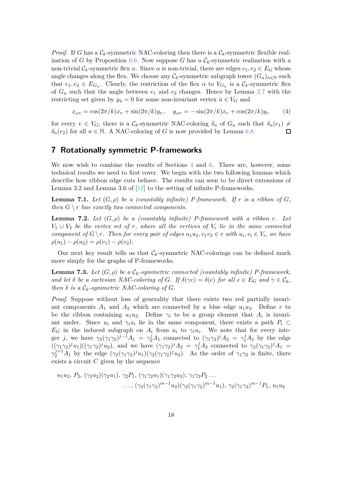*Proof.* If *G* has a  $\mathcal{C}_k$ -symmetric NAC-coloring then there is a  $\mathcal{C}_k$ -symmetric flexible realization of *G* by Proposition [6.6.](#page-15-0) Now suppose *G* has a  $\mathcal{C}_k$ -symmetric realization with a non-trivial  $\mathcal{C}_k$ -symmetric flex *α*. Since *α* is non-trivial, there are edges  $e_1, e_2 \in E_G$  whose angle changes along the flex. We choose any  $\mathcal{C}_k$ -symmetric subgraph tower  $(G_n)_{n\in\mathbb{N}}$  such that  $e_1, e_2 \in E_{G_n}$ . Clearly, the restriction of the flex  $\alpha$  to  $V_{G_n}$  is a  $\mathcal{C}_k$ -symmetric flex of *G<sup>n</sup>* such that the angle between *e*<sup>1</sup> and *e*<sup>2</sup> changes. Hence by Lemma [2.7](#page-5-4) with the restricting set given by  $y_{\bar{u}} = 0$  for some non-invariant vertex  $\bar{u} \in V_G$  and

<span id="page-17-3"></span>
$$
x_{\omega v} = \cos(2\pi/k)x_v + \sin(2\pi/k)y_v, \quad y_{\omega v} = -\sin(2\pi/k)x_v + \cos(2\pi/k)y_v \tag{4}
$$

for every  $v \in V_G$ , there is a  $\mathcal{C}_k$ -symmetric NAC-coloring  $\delta_n$  of  $G_n$  such that  $\delta_n(e_1) \neq$  $\delta_n(e_2)$  for all  $n \in \mathbb{N}$ . A NAC-coloring of *G* is now provided by Lemma [6.8.](#page-16-0)  $\Box$ 

### <span id="page-17-0"></span>**7 Rotationally symmetric P-frameworks**

We now wish to combine the results of Sections [4](#page-8-2) and [6.](#page-14-0) There are, however, some technical results we need to first cover. We begin with the two following lemmas which describe how ribbon edge cuts behave. The results can seen to be direct extensions of Lemma 3.2 and Lemma 3.6 of  $[12]$  to the setting of infinite P-frameworks.

<span id="page-17-1"></span>**Lemma 7.1.** Let  $(G, \rho)$  be a (countably infinite) P-framework. If r is a ribbon of  $G$ , *then*  $G \setminus r$  *has exactly two connected components.* 

<span id="page-17-2"></span>**Lemma 7.2.** *Let* (*G, ρ*) *be a (countably infinite) P-framework with a ribbon r. Let*  $V_1 \cup V_2$  *be the vertex set of r, where all the vertices of*  $V_i$  *lie in the same connected component of*  $G \setminus r$ *. Then for every pair of edges*  $u_1u_2, v_1v_2 \in r$  *with*  $u_i, v_i \in V_i$ *, we have*  $\rho(u_1) - \rho(u_2) = \rho(v_1) - \rho(v_2)$ .

<span id="page-17-4"></span>Our next key result tells us that  $\mathcal{C}_k$ -symmetric NAC-colorings can be defined much more simply for the graphs of P-frameworks.

**Lemma 7.3.** Let  $(G, \rho)$  be a  $\mathcal{C}_k$ -symmetric connected (countably infinite) P-framework, *and let*  $\delta$  *be a cartesian NAC-coloring of G. If*  $\delta(\gamma e) = \delta(e)$  *for all*  $e \in E_G$  *and*  $\gamma \in \mathcal{C}_k$ *, then*  $\delta$  *is a*  $\mathcal{C}_k$ *-symmetric NAC-coloring of G.* 

*Proof.* Suppose without loss of generality that there exists two red partially invariant components  $A_1$  and  $A_2$  which are connected by a blue edge  $u_1u_2$ . Define  $r$  to be the ribbon containing  $u_1u_2$ . Define  $\gamma_i$  to be a group element that  $A_i$  is invariant under. Since  $u_i$  and  $\gamma_i u_i$  lie in the same component, there exists a path  $P_i \subset$  $E_G$  in the induced subgraph on  $A_i$  from  $u_i$  to  $\gamma_i u_i$ . We note that for every integer *j*, we have  $\gamma_2(\gamma_1\gamma_2)^{j-1}A_1 = \gamma_2^jA_1$  connected to  $(\gamma_1\gamma_2)^jA_2 = \gamma_1^jA_2$  by the edge  $((\gamma_1\gamma_2)^j u_1)((\gamma_1\gamma_2)^j u_2)$ , and we have  $(\gamma_1\gamma_2)^j A_2 = \gamma_1^j A_2$  connected to  $\gamma_2(\gamma_1\gamma_2)^j A_1 =$  $\gamma_2^{j+1}A_1$  by the edge  $(\gamma_2(\gamma_1\gamma_2)^ju_1)(\gamma_2(\gamma_1\gamma_2)^ju_2)$ . As the order of  $\gamma_1\gamma_2$  is finite, there exists a circuit *C* given by the sequence

$$
u_1u_2, P_2, (\gamma_2u_2)(\gamma_2u_1), \gamma_2P_1, (\gamma_1\gamma_2u_1)(\gamma_1\gamma_2u_2), \gamma_1\gamma_2P_2...
$$
  
...,  $(\gamma_2(\gamma_1\gamma_2)^{m-1}u_2)(\gamma_2(\gamma_1\gamma_2)^{m-1}u_1), \gamma_2(\gamma_1\gamma_2)^{m-1}P_1, u_1u_2$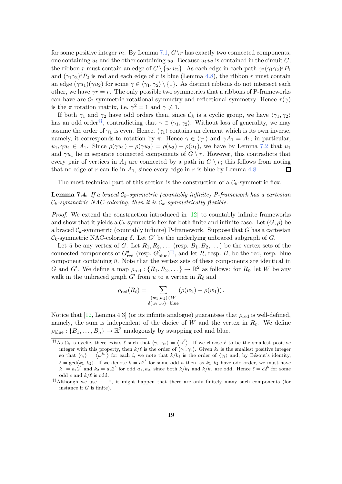for some positive integer *m*. By Lemma [7.1,](#page-17-1)  $G\$ r has exactly two connected components, one containing  $u_1$  and the other containing  $u_2$ . Because  $u_1u_2$  is contained in the circuit *C*, the ribbon *r* must contain an edge of  $C \setminus \{u_1u_2\}$ . As each edge in each path  $\gamma_2(\gamma_1\gamma_2)^j P_1$ and  $(\gamma_1 \gamma_2)^{\ell} P_2$  is red and each edge of *r* is blue (Lemma [4.8\)](#page-9-2), the ribbon *r* must contain an edge  $(\gamma u_1)(\gamma u_2)$  for some  $\gamma \in \langle \gamma_1, \gamma_2 \rangle \setminus \{1\}$ . As distinct ribbons do not intersect each other, we have  $\gamma r = r$ . The only possible two symmetries that a ribbons of P-frameworks can have are  $C_2$ -symmetric rotational symmetry and reflectional symmetry. Hence  $\tau(\gamma)$ is the  $\pi$  rotation matrix, i.e.  $\gamma^2 = 1$  and  $\gamma \neq 1$ .

If both  $\gamma_1$  and  $\gamma_2$  have odd orders then, since  $\mathcal{C}_k$  is a cyclic group, we have  $\langle \gamma_1, \gamma_2 \rangle$ has an odd order<sup>[††](#page-18-1)</sup>, contradicting that  $\gamma \in \langle \gamma_1, \gamma_2 \rangle$ . Without loss of generality, we may assume the order of  $\gamma_1$  is even. Hence,  $\langle \gamma_1 \rangle$  contains an element which is its own inverse, namely, it corresponds to rotation by  $\pi$ . Hence  $\gamma \in \langle \gamma_1 \rangle$  and  $\gamma A_1 = A_1$ ; in particular,  $u_1, \gamma u_1 \in A_1$ . Since  $\rho(\gamma u_1) - \rho(\gamma u_2) = \rho(u_2) - \rho(u_1)$ , we have by Lemma [7.2](#page-17-2) that  $u_1$ and  $\gamma u_1$  lie in separate connected components of  $G \setminus r$ . However, this contradicts that every pair of vertices in  $A_1$  are connected by a path in  $G \setminus r$ ; this follows from noting that no edge of  $r$  can lie in  $A_1$ , since every edge in  $r$  is blue by Lemma [4.8.](#page-9-2)  $\Box$ 

<span id="page-18-0"></span>The most technical part of this section is the construction of a  $\mathcal{C}_k$ -symmetric flex.

#### **Lemma 7.4.** *If a braced* C*k-symmetric (countably infinite) P-framework has a cartesian*  $\mathcal{C}_k$ -symmetric NAC-coloring, then it is  $\mathcal{C}_k$ -symmetrically flexible.

*Proof.* We extend the construction introduced in [\[12\]](#page-25-4) to countably infinite frameworks and show that it yields a  $\mathcal{C}_k$ -symmetric flex for both finite and infinite case. Let  $(G, \rho)$  be a braced  $C_k$ -symmetric (countably infinite) P-framework. Suppose that  $G$  has a cartesian C*k*-symmetric NAC-coloring *δ*. Let *G*′ be the underlying unbraced subgraph of *G*.

Let  $\bar{u}$  be any vertex of *G*. Let  $R_1, R_2, \ldots$  (resp.  $B_1, B_2, \ldots$  ) be the vertex sets of the connected components of  $G_{\text{red}}^{\delta}$  (resp.  $G_{\text{blue}}^{\delta}$ )<sup> $\ddagger\ddagger$ </sup>, and let  $\bar{R}$ , resp.  $\bar{B}$ , be the red, resp. blue component containing  $\bar{u}$ . Note that the vertex sets of these components are identical in *G* and *G'*. We define a map  $\rho_{red}: \{R_1, R_2, \dots\} \to \mathbb{R}^2$  as follows: for  $R_\ell$ , let *W* be any walk in the unbraced graph  $G'$  from  $\bar{u}$  to a vertex in  $R_{\ell}$  and

$$
\rho_{\text{red}}(R_{\ell}) = \sum_{\substack{(w_1, w_2) \in W \\ \delta(w_1 w_2) = \text{blue}}} (\rho(w_2) - \rho(w_1)).
$$

Notice that  $[12, \text{Lemma } 4.3]$  (or its infinite analogue) guarantees that  $\rho_{\text{red}}$  is well-defined, namely, the sum is independent of the choice of *W* and the vertex in *R<sup>ℓ</sup>* . We define  $\rho_{blue}: \{B_1, \ldots, B_n\} \to \mathbb{R}^2$  analogously by swapping red and blue.

<span id="page-18-1"></span><sup>&</sup>lt;sup>††</sup>As  $\mathcal{C}_k$  is cyclic, there exists  $\ell$  such that  $\langle \gamma_1, \gamma_2 \rangle = \langle \omega^{\ell} \rangle$ . If we choose  $\ell$  to be the smallest positive integer with this property, then  $k/\ell$  is the order of  $\langle \gamma_1, \gamma_2 \rangle$ . Given  $k_i$  is the smallest positive integer so that  $\langle \gamma_i \rangle = \langle \omega^{k_i} \rangle$  for each *i*, we note that  $k/k_i$  is the order of  $\langle \gamma_i \rangle$  and, by Bézout's identity,  $\ell = \gcd(k_1, k_2)$ . If we denote  $k = a2^b$  for some odd *a* then, as  $k_1, k_2$  have odd order, we must have  $k_1 = a_1 2^b$  and  $k_2 = a_2 2^b$  for odd  $a_1, a_2$ , since both  $k/k_1$  and  $k/k_2$  are odd. Hence  $\ell = c2^b$  for some odd *c* and *k/ℓ* is odd.

<span id="page-18-2"></span><sup>‡‡</sup>Although we use ". . . ", it might happen that there are only finitely many such components (for instance if *G* is finite).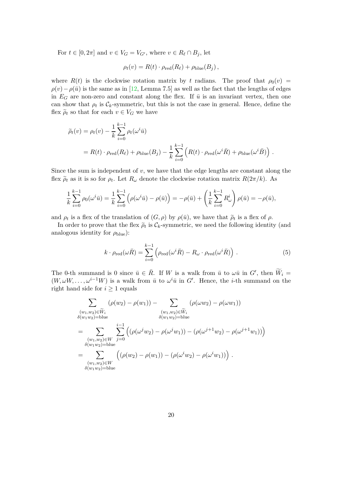For  $t \in [0, 2\pi]$  and  $v \in V_G = V_{G'}$ , where  $v \in R_\ell \cap B_j$ , let

$$
\rho_t(v) = R(t) \cdot \rho_{\text{red}}(R_{\ell}) + \rho_{\text{blue}}(B_j),
$$

where  $R(t)$  is the clockwise rotation matrix by *t* radians. The proof that  $\rho_0(v)$  =  $\rho(v) - \rho(\bar{u})$  is the same as in [\[12,](#page-25-4) Lemma 7.5] as well as the fact that the lengths of edges in  $E_G$  are non-zero and constant along the flex. If  $\bar{u}$  is an invariant vertex, then one can show that  $\rho_t$  is  $\mathcal{C}_k$ -symmetric, but this is not the case in general. Hence, define the flex  $\tilde{\rho}_t$  so that for each  $v \in V_G$  we have

$$
\widetilde{\rho}_t(v) = \rho_t(v) - \frac{1}{k} \sum_{i=0}^{k-1} \rho_t(\omega^i \overline{u})
$$
  
=  $R(t) \cdot \rho_{\text{red}}(R_\ell) + \rho_{\text{blue}}(B_j) - \frac{1}{k} \sum_{i=0}^{k-1} (R(t) \cdot \rho_{\text{red}}(\omega^i \overline{R}) + \rho_{\text{blue}}(\omega^i \overline{B}))$ .

Since the sum is independent of *v*, we have that the edge lengths are constant along the flex  $\tilde{\rho}_t$  as it is so for  $\rho_t$ . Let  $R_\omega$  denote the clockwise rotation matrix  $R(2\pi/k)$ . As

$$
\frac{1}{k} \sum_{i=0}^{k-1} \rho_0(\omega^i \bar{u}) = \frac{1}{k} \sum_{i=0}^{k-1} \left( \rho(\omega^i \bar{u}) - \rho(\bar{u}) \right) = -\rho(\bar{u}) + \left( \frac{1}{k} \sum_{i=0}^{k-1} R_{\omega}^i \right) \rho(\bar{u}) = -\rho(\bar{u}),
$$

and  $\rho_t$  is a flex of the translation of  $(G, \rho)$  by  $\rho(\bar{u})$ , we have that  $\rho_t$  is a flex of  $\rho$ .

In order to prove that the flex  $\tilde{\rho}_t$  is  $\mathcal{C}_k$ -symmetric, we need the following identity (and analogous identity for  $\rho_{blue}$ ):

<span id="page-19-0"></span>
$$
k \cdot \rho_{\text{red}}(\omega \bar{R}) = \sum_{i=0}^{k-1} \left( \rho_{\text{red}}(\omega^i \bar{R}) - R_{\omega} \cdot \rho_{\text{red}}(\omega^i \bar{R}) \right) . \tag{5}
$$

The 0-th summand is 0 since  $\bar{u} \in \bar{R}$ . If *W* is a walk from  $\bar{u}$  to  $\omega \bar{u}$  in  $G'$ , then  $\widetilde{W}_i =$  $(W, \omega W, \dots, \omega^{i-1}W)$  is a walk from  $\bar{u}$  to  $\omega^i\bar{u}$  in  $G'$ . Hence, the *i*-th summand on the right hand side for  $i \geq 1$  equals

$$
\sum_{\substack{(w_1, w_2) \in \widetilde{W}_i \\ \delta(w_1w_2) = \text{blue} \\ \vdots \\ (w_1, w_2) \in W}} (\rho(w_2) - \rho(w_1)) - \sum_{\substack{(w_1, w_2) \in \widetilde{W}_i \\ \delta(w_1w_2) = \text{blue} \\ \vdots \\ (\omega_1, w_2) \in W}} (\rho(\omega w_2) - \rho(\omega w_1))
$$
\n
$$
= \sum_{\substack{(w_1, w_2) \in W \\ \delta(w_1w_2) = \text{blue} \\ \delta(w_1w_2) = \text{blue} \\ \delta(w_1w_2) = \text{blue}}} \left( (\rho(\omega^j w_2) - \rho(\omega^j w_1)) - (\rho(\omega^i w_2) - \rho(\omega^i w_1)) \right).
$$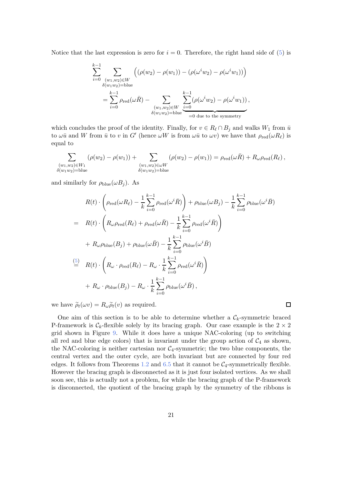Notice that the last expression is zero for  $i = 0$ . Therefore, the right hand side of  $(5)$  is

$$
\sum_{i=0}^{k-1} \sum_{\substack{(w_1, w_2) \in W \\ \delta(w_1w_2)=b \text{blue}}} \left( (\rho(w_2) - \rho(w_1)) - (\rho(\omega^i w_2) - \rho(\omega^i w_1)) \right)
$$
  
= 
$$
\sum_{i=0}^{k-1} \rho_{\text{red}}(\omega \bar{R}) - \sum_{\substack{(w_1, w_2) \in W \\ \delta(w_1w_2)=b \text{blue}}} \sum_{i=0}^{k-1} (\rho(\omega^i w_2) - \rho(\omega^i w_1)),
$$

which concludes the proof of the identity. Finally, for  $v \in R_\ell \cap B_j$  and walks  $W_1$  from  $\bar{u}$ to  $\omega \bar{u}$  and *W* from  $\bar{u}$  to *v* in *G*<sup>'</sup> (hence  $\omega W$  is from  $\omega \bar{u}$  to  $\omega v$ ) we have that  $\rho_{red}(\omega R_\ell)$  is equal to

$$
\sum_{\substack{(w_1,w_2)\in W_1\\ \delta(w_1w_2)=\text{blue}}} (\rho(w_2)-\rho(w_1)) + \sum_{\substack{(w_1,w_2)\in \omega W\\ \delta(w_1w_2)=\text{blue}}} (\rho(w_2)-\rho(w_1)) = \rho_{\text{red}}(\omega \bar{R}) + R_{\omega} \rho_{\text{red}}(R_{\ell}),
$$

and similarly for  $\rho_{blue}(\omega B_i)$ . As

$$
R(t) \cdot \left(\rho_{\text{red}}(\omega R_{\ell}) - \frac{1}{k} \sum_{i=0}^{k-1} \rho_{\text{red}}(\omega^{i} \overline{R})\right) + \rho_{\text{blue}}(\omega B_{j}) - \frac{1}{k} \sum_{i=0}^{k-1} \rho_{\text{blue}}(\omega^{i} \overline{B})
$$
  
\n
$$
= R(t) \cdot \left(R_{\omega} \rho_{\text{red}}(R_{\ell}) + \rho_{\text{red}}(\omega \overline{R}) - \frac{1}{k} \sum_{i=0}^{k-1} \rho_{\text{red}}(\omega^{i} \overline{R})\right)
$$
  
\n
$$
+ R_{\omega} \rho_{\text{blue}}(B_{j}) + \rho_{\text{blue}}(\omega \overline{B}) - \frac{1}{k} \sum_{i=0}^{k-1} \rho_{\text{blue}}(\omega^{i} \overline{B})
$$
  
\n
$$
\stackrel{(5)}{=} R(t) \cdot \left(R_{\omega} \cdot \rho_{\text{red}}(R_{\ell}) - R_{\omega} \cdot \frac{1}{k} \sum_{i=0}^{k-1} \rho_{\text{red}}(\omega^{i} \overline{R})\right)
$$
  
\n
$$
+ R_{\omega} \cdot \rho_{\text{blue}}(B_{j}) - R_{\omega} \cdot \frac{1}{k} \sum_{i=0}^{k-1} \rho_{\text{blue}}(\omega^{i} \overline{B}),
$$

we have  $\tilde{\rho}_t(\omega v) = R_\omega \tilde{\rho}_t(v)$  as required.

One aim of this section is to be able to determine whether a  $\mathcal{C}_k$ -symmetric braced P-framework is  $\mathcal{C}_k$ -flexible solely by its bracing graph. Our case example is the  $2 \times 2$ grid shown in Figure [9.](#page-21-0) While it does have a unique NAC-coloring (up to switching all red and blue edge colors) that is invariant under the group action of  $\mathcal{C}_4$  as shown, the NAC-coloring is neither cartesian nor  $C_4$ -symmetric; the two blue components, the central vertex and the outer cycle, are both invariant but are connected by four red edges. It follows from Theorems [1.2](#page-2-0) and [6.5](#page-15-1) that it cannot be  $C_4$ -symmetrically flexible. However the bracing graph is disconnected as it is just four isolated vertices. As we shall soon see, this is actually not a problem, for while the bracing graph of the P-framework is disconnected, the quotient of the bracing graph by the symmetry of the ribbons is

 $\Box$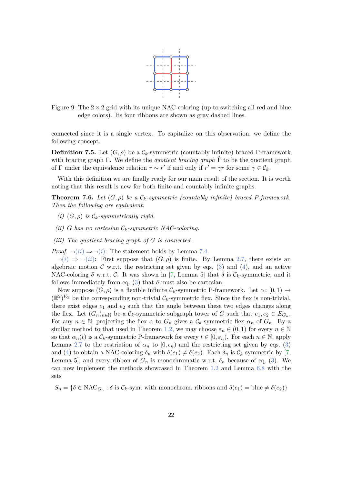

<span id="page-21-0"></span>Figure 9: The  $2 \times 2$  grid with its unique NAC-coloring (up to switching all red and blue edge colors). Its four ribbons are shown as gray dashed lines.

connected since it is a single vertex. To capitalize on this observation, we define the following concept.

**Definition 7.5.** Let  $(G, \rho)$  be a  $\mathcal{C}_k$ -symmetric (countably infinite) braced P-framework with bracing graph Γ. We define the *quotient bracing graph* Γˆ to be the quotient graph of Γ under the equivalence relation  $r \sim r'$  if and only if  $r' = \gamma r$  for some  $\gamma \in \mathcal{C}_k$ .

<span id="page-21-4"></span>With this definition we are finally ready for our main result of the section. It is worth noting that this result is new for both finite and countably infinite graphs.

<span id="page-21-2"></span>**Theorem 7.6.** *Let*  $(G, \rho)$  *be a*  $\mathcal{C}_k$ *-symmetric (countably infinite) braced P-framework. Then the following are equivalent:*

- <span id="page-21-1"></span>*(i)*  $(G, \rho)$  *is*  $\mathcal{C}_k$ -symmetrically rigid.
- <span id="page-21-3"></span>*(ii) G* has no cartesian  $C_k$ -symmetric NAC-coloring.
- *(iii) The quotient bracing graph of G is connected.*

*Proof.*  $\neg(ii) \Rightarrow \neg(i)$  $\neg(ii) \Rightarrow \neg(i)$  $\neg(ii) \Rightarrow \neg(i)$  $\neg(ii) \Rightarrow \neg(i)$  $\neg(ii) \Rightarrow \neg(i)$ : The statement holds by Lemma [7.4.](#page-18-0)

 $\neg(i) \Rightarrow \neg(ii)$  $\neg(i) \Rightarrow \neg(ii)$  $\neg(i) \Rightarrow \neg(ii)$  $\neg(i) \Rightarrow \neg(ii)$  $\neg(i) \Rightarrow \neg(ii)$ : First suppose that  $(G, \rho)$  is finite. By Lemma [2.7,](#page-5-4) there exists an algebraic motion  $\mathcal C$  w.r.t. the restricting set given by eqs. [\(3\)](#page-10-1) and [\(4\)](#page-17-3), and an active NAC-coloring  $\delta$  w.r.t. C. It was shown in [\[7,](#page-25-5) Lemma 5] that  $\delta$  is  $\mathcal{C}_k$ -symmetric, and it follows immediately from eq.  $(3)$  that  $\delta$  must also be cartesian.

Now suppose  $(G, \rho)$  is a flexible infinite  $\mathcal{C}_k$ -symmetric P-framework. Let  $\alpha: [0, 1) \to$  $(\mathbb{R}^2)^{V_G}$  be the corresponding non-trivial  $\mathcal{C}_k$ -symmetric flex. Since the flex is non-trivial, there exist edges *e*<sup>1</sup> and *e*<sup>2</sup> such that the angle between these two edges changes along the flex. Let  $(G_n)_{n \in \mathbb{N}}$  be a  $\mathcal{C}_k$ -symmetric subgraph tower of *G* such that  $e_1, e_2 \in E_{G_n}$ . For any  $n \in \mathbb{N}$ , projecting the flex  $\alpha$  to  $G_n$  gives a  $\mathcal{C}_k$ -symmetric flex  $\alpha_n$  of  $G_n$ . By a similar method to that used in Theorem [1.2,](#page-2-0) we may choose  $\varepsilon_n \in (0,1)$  for every  $n \in \mathbb{N}$ so that  $\alpha_n(t)$  is a  $\mathcal{C}_k$ -symmetric P-framework for every  $t \in [0, \varepsilon_n)$ . For each  $n \in \mathbb{N}$ , apply Lemma [2.7](#page-5-4) to the restriction of  $\alpha_n$  to  $[0, \epsilon_n)$  and the restricting set given by eqs. [\(3\)](#page-10-1) and [\(4\)](#page-17-3) to obtain a NAC-coloring  $\delta_n$  with  $\delta(e_1) \neq \delta(e_2)$ . Each  $\delta_n$  is  $\mathcal{C}_k$ -symmetric by [\[7,](#page-25-5) Lemma 5], and every ribbon of  $G_n$  is monochromatic w.r.t.  $\delta_n$  because of eq. [\(3\)](#page-10-1). We can now implement the methods showcased in Theorem [1.2](#page-2-0) and Lemma [6.8](#page-16-0) with the sets

 $S_n = \{\delta \in \text{NAC}_{G_n} : \delta \text{ is } C_k\text{-sym. with monochrom. ribbons and } \delta(e_1) = \text{blue} \neq \delta(e_2)\}\$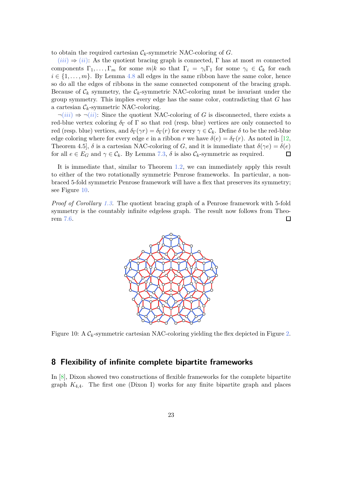to obtain the required cartesian  $\mathcal{C}_k$ -symmetric NAC-coloring of *G*.

 $(iii) \Rightarrow (ii)$  $(iii) \Rightarrow (ii)$  $(iii) \Rightarrow (ii)$  $(iii) \Rightarrow (ii)$  $(iii) \Rightarrow (ii)$ : As the quotient bracing graph is connected, Γ has at most *m* connected components  $\Gamma_1, \ldots, \Gamma_m$  for some  $m|k$  so that  $\Gamma_i = \gamma_i \Gamma_1$  for some  $\gamma_i \in \mathcal{C}_k$  for each  $i \in \{1, \ldots, m\}$ . By Lemma [4.8](#page-9-2) all edges in the same ribbon have the same color, hence so do all the edges of ribbons in the same connected component of the bracing graph. Because of  $\mathcal{C}_k$  symmetry, the  $\mathcal{C}_k$ -symmetric NAC-coloring must be invariant under the group symmetry. This implies every edge has the same color, contradicting that *G* has a cartesian  $\mathcal{C}_k$ -symmetric NAC-coloring.

 $\neg(iii) \Rightarrow \neg(ii)$  $\neg(iii) \Rightarrow \neg(ii)$  $\neg(iii) \Rightarrow \neg(ii)$  $\neg(iii) \Rightarrow \neg(ii)$  $\neg(iii) \Rightarrow \neg(ii)$ : Since the quotient NAC-coloring of *G* is disconnected, there exists a red-blue vertex coloring  $\delta_{\Gamma}$  of  $\Gamma$  so that red (resp. blue) vertices are only connected to red (resp. blue) vertices, and  $\delta_{\Gamma}(\gamma r) = \delta_{\Gamma}(r)$  for every  $\gamma \in \mathcal{C}_k$ . Define  $\delta$  to be the red-blue edge coloring where for every edge *e* in a ribbon *r* we have  $\delta(e) = \delta_{\Gamma}(r)$ . As noted in [\[12,](#page-25-4) Theorem 4.5,  $\delta$  is a cartesian NAC-coloring of *G*, and it is immediate that  $\delta(\gamma e) = \delta(e)$ for all  $e \in E_G$  and  $\gamma \in \mathcal{C}_k$ . By Lemma [7.3,](#page-17-4)  $\delta$  is also  $\mathcal{C}_k$ -symmetric as required.  $\Box$ 

It is immediate that, similar to Theorem [1.2,](#page-2-0) we can immediately apply this result to either of the two rotationally symmetric Penrose frameworks. In particular, a nonbraced 5-fold symmetric Penrose framework will have a flex that preserves its symmetry; see Figure [10.](#page-22-1)

<span id="page-22-1"></span>*Proof of Corollary [1.3.](#page-2-4)* The quotient bracing graph of a Penrose framework with 5-fold symmetry is the countably infinite edgeless graph. The result now follows from Theorem [7.6.](#page-21-4)  $\Box$ 



Figure 10: A C*k*-symmetric cartesian NAC-coloring yielding the flex depicted in Figure [2.](#page-3-0)

# <span id="page-22-0"></span>**8 Flexibility of infinite complete bipartite frameworks**

In [\[8\]](#page-25-10), Dixon showed two constructions of flexible frameworks for the complete bipartite graph  $K_{4,4}$ . The first one (Dixon I) works for any finite bipartite graph and places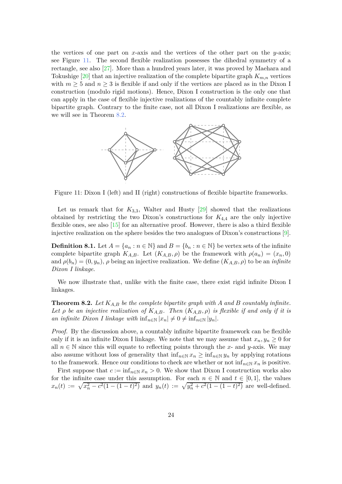the vertices of one part on *x*-axis and the vertices of the other part on the *y*-axis; see Figure [11.](#page-23-0) The second flexible realization possesses the dihedral symmetry of a rectangle, see also [\[27\]](#page-26-8). More than a hundred years later, it was proved by Maehara and Tokushige  $[20]$  that an injective realization of the complete bipartite graph  $K_{m,n}$  vertices with  $m \geq 5$  and  $n \geq 3$  is flexible if and only if the vertices are placed as in the Dixon I construction (modulo rigid motions). Hence, Dixon I construction is the only one that can apply in the case of flexible injective realizations of the countably infinite complete bipartite graph. Contrary to the finite case, not all Dixon I realizations are flexible, as we will see in Theorem [8.2.](#page-23-1)

<span id="page-23-0"></span>

Figure 11: Dixon I (left) and II (right) constructions of flexible bipartite frameworks.

Let us remark that for  $K_{3,3}$ , Walter and Husty  $[29]$  showed that the realizations obtained by restricting the two Dixon's constructions for  $K_{4,4}$  are the only injective flexible ones, see also  $[15]$  for an alternative proof. However, there is also a third flexible injective realization on the sphere besides the two analogues of Dixon's constructions [\[9\]](#page-25-12).

**Definition 8.1.** Let  $A = \{a_n : n \in \mathbb{N}\}\$  and  $B = \{b_n : n \in \mathbb{N}\}\$  be vertex sets of the infinite complete bipartite graph  $K_{A,B}$ . Let  $(K_{A,B}, \rho)$  be the framework with  $\rho(a_n) = (x_n, 0)$ and  $\rho(b_n) = (0, y_n)$ ,  $\rho$  being an injective realization. We define  $(K_{A,B}, \rho)$  to be an *infinite Dixon I linkage*.

<span id="page-23-1"></span>We now illustrate that, unlike with the finite case, there exist rigid infinite Dixon I linkages.

**Theorem 8.2.** *Let KA,B be the complete bipartite graph with A and B countably infinite. Let*  $\rho$  *be an injective realization of*  $K_{A,B}$ *. Then*  $(K_{A,B}, \rho)$  *is flexible if and only if it is an infinite Dixon I linkage with*  $\inf_{n \in \mathbb{N}} |x_n| \neq 0 \neq \inf_{n \in \mathbb{N}} |y_n|$ .

*Proof.* By the discussion above, a countably infinite bipartite framework can be flexible only if it is an infinite Dixon I linkage. We note that we may assume that  $x_n, y_n \geq 0$  for all  $n \in \mathbb{N}$  since this will equate to reflecting points through the *x*- and *y*-axis. We may also assume without loss of generality that  $\inf_{n\in\mathbb{N}} x_n \geq \inf_{n\in\mathbb{N}} y_n$  by applying rotations to the framework. Hence our conditions to check are whether or not  $\inf_{n\in\mathbb{N}}x_n$  is positive.

First suppose that  $c := \inf_{n \in \mathbb{N}} x_n > 0$ . We show that Dixon I construction works also for the infinite case under this assumption. For each  $n \in \mathbb{N}$  and  $t \in [0,1]$ , the values  $x_n(t) := \sqrt{x_n^2 - c^2(1 - (1 - t)^2)}$  and  $y_n(t) := \sqrt{y_n^2 + c^2(1 - (1 - t)^2)}$  are well-defined.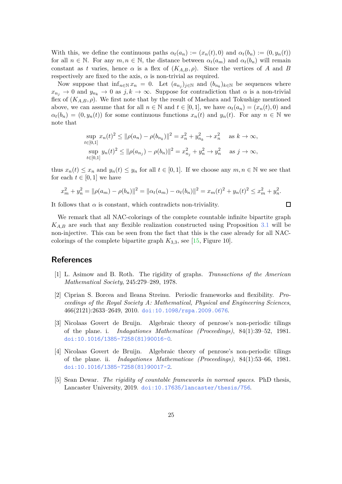With this, we define the continuous paths  $\alpha_t(a_n) := (x_n(t), 0)$  and  $\alpha_t(b_n) := (0, y_n(t))$ for all  $n \in \mathbb{N}$ . For any  $m, n \in \mathbb{N}$ , the distance between  $\alpha_t(a_m)$  and  $\alpha_t(b_n)$  will remain constant as *t* varies, hence  $\alpha$  is a flex of  $(K_{A,B}, \rho)$ . Since the vertices of *A* and *B* respectively are fixed to the axis,  $\alpha$  is non-trivial as required.

Now suppose that  $\inf_{n\in\mathbb{N}} x_n = 0$ . Let  $(a_{n_j})_{j\in\mathbb{N}}$  and  $(b_{n_k})_{k\in\mathbb{N}}$  be sequences where  $x_{n_j} \to 0$  and  $y_{n_k} \to 0$  as  $j, k \to \infty$ . Suppose for contradiction that  $\alpha$  is a non-trivial flex of  $(K_{A,B}, \rho)$ . We first note that by the result of Maehara and Tokushige mentioned above, we can assume that for all  $n \in \mathbb{N}$  and  $t \in [0,1]$ , we have  $\alpha_t(a_n) = (x_n(t), 0)$  and  $\alpha_t(b_n) = (0, y_n(t))$  for some continuous functions  $x_n(t)$  and  $y_n(t)$ . For any  $n \in \mathbb{N}$  we note that

$$
\sup_{t \in [0,1]} x_n(t)^2 \le ||\rho(a_n) - \rho(b_{n_k})||^2 = x_n^2 + y_{n_k}^2 \to x_n^2 \quad \text{as } k \to \infty,
$$
  

$$
\sup_{t \in [0,1]} y_n(t)^2 \le ||\rho(a_{n_j}) - \rho(b_n)||^2 = x_{n_j}^2 + y_n^2 \to y_n^2 \quad \text{as } j \to \infty,
$$

thus  $x_n(t) \leq x_n$  and  $y_n(t) \leq y_n$  for all  $t \in [0,1]$ . If we choose any  $m, n \in \mathbb{N}$  we see that for each  $t \in [0, 1]$  we have

$$
x_m^2 + y_n^2 = ||\rho(a_m) - \rho(b_n)||^2 = ||\alpha_t(a_m) - \alpha_t(b_n)||^2 = x_m(t)^2 + y_n(t)^2 \le x_m^2 + y_n^2.
$$

 $\Box$ 

It follows that  $\alpha$  is constant, which contradicts non-triviality.

We remark that all NAC-colorings of the complete countable infinite bipartite graph  $K_{AB}$  are such that any flexible realization constructed using Proposition [3.1](#page-6-0) will be non-injective. This can be seen from the fact that this is the case already for all NACcolorings of the complete bipartite graph  $K_{3,3}$ , see [\[15,](#page-25-11) Figure 10].

### <span id="page-24-2"></span>**References**

- <span id="page-24-1"></span>[1] L. Asimow and B. Roth. The rigidity of graphs. *Transactions of the American Mathematical Society*, 245:279–289, 1978.
- [2] Ciprian S. Borcea and Ileana Streinu. Periodic frameworks and flexibility. *Proceedings of the Royal Society A: Mathematical, Physical and Engineering Sciences*, 466(2121):2633–2649, 2010. [doi:10.1098/rspa.2009.0676](http://dx.doi.org/10.1098/rspa.2009.0676).
- <span id="page-24-3"></span>[3] Nicolaas Govert de Bruijn. Algebraic theory of penrose's non-periodic tilings of the plane. i. *Indagationes Mathematicae (Proceedings)*, 84(1):39–52, 1981. [doi:10.1016/1385-7258\(81\)90016-0](http://dx.doi.org/10.1016/1385-7258(81)90016-0).
- <span id="page-24-4"></span>[4] Nicolaas Govert de Bruijn. Algebraic theory of penrose's non-periodic tilings of the plane. ii. *Indagationes Mathematicae (Proceedings)*, 84(1):53–66, 1981. [doi:10.1016/1385-7258\(81\)90017-2](http://dx.doi.org/10.1016/1385-7258(81)90017-2).
- <span id="page-24-0"></span>[5] Sean Dewar. *The rigidity of countable frameworks in normed spaces*. PhD thesis, Lancaster University, 2019. [doi:10.17635/lancaster/thesis/756](http://dx.doi.org/10.17635/lancaster/thesis/756).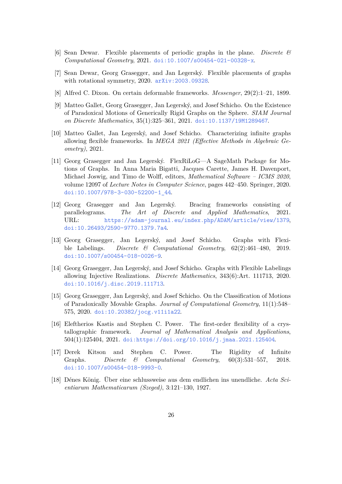- <span id="page-25-5"></span><span id="page-25-2"></span>[6] Sean Dewar. Flexible placements of periodic graphs in the plane. *Discrete & Computational Geometry*, 2021. [doi:10.1007/s00454-021-00328-x](http://dx.doi.org/10.1007/s00454-021-00328-x).
- <span id="page-25-10"></span>[7] Sean Dewar, Georg Grasegger, and Jan Legerský. Flexible placements of graphs with rotational symmetry, 2020. [arXiv:2003.09328](http://arxiv.org/abs/2003.09328).
- <span id="page-25-12"></span>[8] Alfred C. Dixon. On certain deformable frameworks. *Messenger*, 29(2):1–21, 1899.
- [9] Matteo Gallet, Georg Grasegger, Jan Legerský, and Josef Schicho. On the Existence of Paradoxical Motions of Generically Rigid Graphs on the Sphere. *SIAM Journal on Discrete Mathematics*, 35(1):325–361, 2021. [doi:10.1137/19M1289467](http://dx.doi.org/10.1137/19M1289467).
- <span id="page-25-3"></span>[10] Matteo Gallet, Jan Legerský, and Josef Schicho. Characterizing infinite graphs allowing flexible frameworks. In *MEGA 2021 (Effective Methods in Algebraic Geometry)*, 2021.
- <span id="page-25-6"></span>[11] Georg Grasegger and Jan Legerský. FlexRiLoG—A SageMath Package for Motions of Graphs. In Anna Maria Bigatti, Jacques Carette, James H. Davenport, Michael Joswig, and Timo de Wolff, editors, *Mathematical Software – ICMS 2020*, volume 12097 of *Lecture Notes in Computer Science*, pages 442–450. Springer, 2020. [doi:10.1007/978-3-030-52200-1\\_44](http://dx.doi.org/10.1007/978-3-030-52200-1_44).
- <span id="page-25-4"></span>[12] Georg Grasegger and Jan Legerský. Bracing frameworks consisting of parallelograms. *The Art of Discrete and Applied Mathematics*, 2021. URL: <https://adam-journal.eu/index.php/ADAM/article/view/1379>, [doi:10.26493/2590-9770.1379.7a4](http://dx.doi.org/10.26493/2590-9770.1379.7a4).
- <span id="page-25-1"></span>[13] Georg Grasegger, Jan Legerský, and Josef Schicho. Graphs with Flexible Labelings. *Discrete & Computational Geometry*, 62(2):461–480, 2019. [doi:10.1007/s00454-018-0026-9](http://dx.doi.org/10.1007/s00454-018-0026-9).
- <span id="page-25-7"></span>[14] Georg Grasegger, Jan Legerský, and Josef Schicho. Graphs with Flexible Labelings allowing Injective Realizations. *Discrete Mathematics*, 343(6):Art. 111713, 2020. [doi:10.1016/j.disc.2019.111713](http://dx.doi.org/10.1016/j.disc.2019.111713).
- <span id="page-25-11"></span>[15] Georg Grasegger, Jan Legerský, and Josef Schicho. On the Classification of Motions of Paradoxically Movable Graphs. *Journal of Computational Geometry*, 11(1):548– 575, 2020. [doi:10.20382/jocg.v11i1a22](http://dx.doi.org/10.20382/jocg.v11i1a22).
- <span id="page-25-9"></span>[16] Eleftherios Kastis and Stephen C. Power. The first-order flexibility of a crystallographic framework. *Journal of Mathematical Analysis and Applications*, 504(1):125404, 2021. [doi:https://doi.org/10.1016/j.jmaa.2021.125404](http://dx.doi.org/https://doi.org/10.1016/j.jmaa.2021.125404).
- <span id="page-25-0"></span>[17] Derek Kitson and Stephen C. Power. The Rigidity of Infinite Graphs. *Discrete & Computational Geometry*, 60(3):531–557, 2018. [doi:10.1007/s00454-018-9993-0](http://dx.doi.org/10.1007/s00454-018-9993-0).
- <span id="page-25-8"></span>[18] Dénes König. Über eine schlussweise aus dem endlichen ins unendliche. *Acta Scientiarum Mathematicarum (Szeged)*, 3:121–130, 1927.